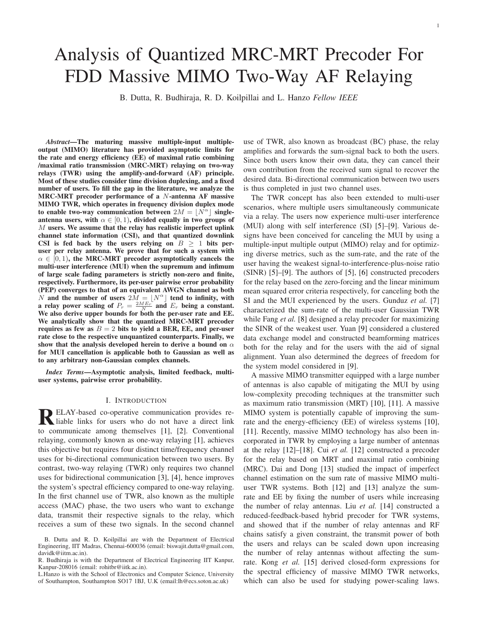# Analysis of Quantized MRC-MRT Precoder For FDD Massive MIMO Two-Way AF Relaying

B. Dutta, R. Budhiraja, R. D. Koilpillai and L. Hanzo *Fellow IEEE*

*Abstract*—The maturing massive multiple-input multipleoutput (MIMO) literature has provided asymptotic limits for the rate and energy efficiency (EE) of maximal ratio combining /maximal ratio transmission (MRC-MRT) relaying on two-way relays (TWR) using the amplify-and-forward (AF) principle. Most of these studies consider time division duplexing, and a fixed number of users. To fill the gap in the literature, we analyze the MRC-MRT precoder performance of a N-antenna AF massive MIMO TWR, which operates in frequency division duplex mode to enable two-way communication between  $2M = \lfloor N^{\alpha} \rfloor$  singleantenna users, with  $\alpha \in [0, 1)$ , divided equally in two groups of  $M$  users. We assume that the relay has realistic imperfect uplink channel state information (CSI), and that quantized downlink CSI is fed back by the users relying on  $B \geq 1$  bits peruser per relay antenna. We prove that for such a system with  $\alpha \in [0, 1)$ , the MRC-MRT precoder asymptotically cancels the multi-user interference (MUI) when the supremum and infimum of large scale fading parameters is strictly non-zero and finite, respectively. Furthermore, its per-user pairwise error probability (PEP) converges to that of an equivalent AWGN channel as both N and the number of users  $2M = |N^{\alpha}|$  tend to infinity, with a relay power scaling of  $P_r = \frac{2ME_r}{N}$  and  $E_r$  being a constant. We also derive upper bounds for both the per-user rate and EE. We analytically show that the quantized MRC-MRT precoder requires as few as  $B = 2$  bits to yield a BER, EE, and per-user rate close to the respective unquantized counterparts. Finally, we show that the analysis developed herein to derive a bound on  $\alpha$ for MUI cancellation is applicable both to Gaussian as well as to any arbitrary non-Gaussian complex channels.

*Index Terms*—Asymptotic analysis, limited feedback, multiuser systems, pairwise error probability.

#### I. INTRODUCTION

R ELAY-based co-operative communication provides re-<br>liable links for users who do not have a direct link<br>to communicate among themselves [1], [2], Communication ELAY-based co-operative communication provides reto communicate among themselves [\[1\]](#page-15-0), [\[2\]](#page-15-1). Conventional relaying, commonly known as one-way relaying [\[1\]](#page-15-0), achieves this objective but requires four distinct time/frequency channel uses for bi-directional communication between two users. By contrast, two-way relaying (TWR) only requires two channel uses for bidirectional communication [\[3\]](#page-15-2), [\[4\]](#page-15-3), hence improves the system's spectral efficiency compared to one-way relaying. In the first channel use of TWR, also known as the multiple access (MAC) phase, the two users who want to exchange data, transmit their respective signals to the relay, which receives a sum of these two signals. In the second channel

L.Hanzo is with the School of Electronics and Computer Science, University of Southampton, Southampton SO17 1BJ, U.K (email:lh@ecs.soton.ac.uk)

use of TWR, also known as broadcast (BC) phase, the relay amplifies and forwards the sum-signal back to both the users. Since both users know their own data, they can cancel their own contribution from the received sum signal to recover the desired data. Bi-directional communication between two users is thus completed in just two channel uses.

The TWR concept has also been extended to multi-user scenarios, where multiple users simultaneously communicate via a relay. The users now experience multi-user interference (MUI) along with self interference (SI) [\[5\]](#page-15-4)–[\[9\]](#page-15-5). Various designs have been conceived for canceling the MUI by using a multiple-input multiple output (MIMO) relay and for optimizing diverse metrics, such as the sum-rate, and the rate of the user having the weakest signal-to-interference-plus-noise ratio (SINR) [\[5\]](#page-15-4)–[\[9\]](#page-15-5). The authors of [\[5\]](#page-15-4), [\[6\]](#page-15-6) constructed precoders for the relay based on the zero-forcing and the linear minimum mean squared error criteria respectively, for canceling both the SI and the MUI experienced by the users. Gunduz *et al.* [\[7\]](#page-15-7) characterized the sum-rate of the multi-user Gaussian TWR while Fang *et al.* [\[8\]](#page-15-8) designed a relay precoder for maximizing the SINR of the weakest user. Yuan [\[9\]](#page-15-5) considered a clustered data exchange model and constructed beamforming matrices both for the relay and for the users with the aid of signal alignment. Yuan also determined the degrees of freedom for the system model considered in [\[9\]](#page-15-5).

A massive MIMO transmitter equipped with a large number of antennas is also capable of mitigating the MUI by using low-complexity precoding techniques at the transmitter such as maximum ratio transmission (MRT) [\[10\]](#page-15-9), [\[11\]](#page-15-10). A massive MIMO system is potentially capable of improving the sumrate and the energy-efficiency (EE) of wireless systems [\[10\]](#page-15-9), [\[11\]](#page-15-10). Recently, massive MIMO technology has also been incorporated in TWR by employing a large number of antennas at the relay [\[12\]](#page-15-11)–[\[18\]](#page-15-12). Cui *et al.* [\[12\]](#page-15-11) constructed a precoder for the relay based on MRT and maximal ratio combining (MRC). Dai and Dong [\[13\]](#page-15-13) studied the impact of imperfect channel estimation on the sum rate of massive MIMO multiuser TWR systems. Both [\[12\]](#page-15-11) and [\[13\]](#page-15-13) analyze the sumrate and EE by fixing the number of users while increasing the number of relay antennas. Liu *et al.* [\[14\]](#page-15-14) constructed a reduced-feedback-based hybrid precoder for TWR systems, and showed that if the number of relay antennas and RF chains satisfy a given constraint, the transmit power of both the users and relays can be scaled down upon increasing the number of relay antennas without affecting the sumrate. Kong *et al.* [\[15\]](#page-15-15) derived closed-form expressions for the spectral efficiency of massive MIMO TWR networks, which can also be used for studying power-scaling laws.

B. Dutta and R. D. Koilpillai are with the Department of Electrical Engineering, IIT Madras, Chennai-600036 (email: biswajit.dutta@gmail.com, davidk@iitm.ac.in).

R. Budhiraja is with the Department of Electrical Engineering IIT Kanpur, Kanpur-208016 (email: rohitbr@iitk.ac.in).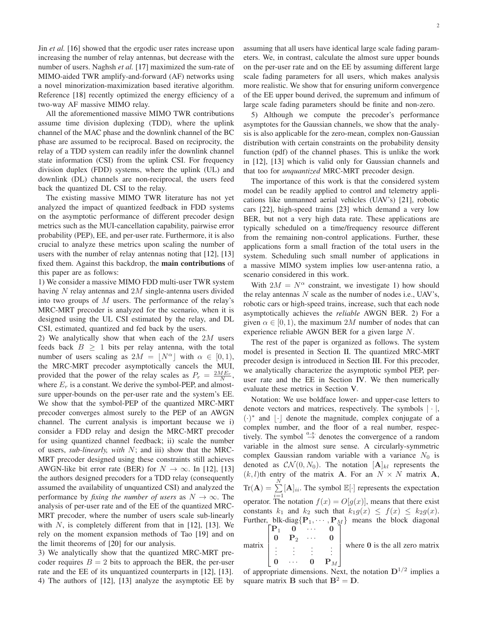Jin *et al.* [\[16\]](#page-15-16) showed that the ergodic user rates increase upon increasing the number of relay antennas, but decrease with the number of users. Naghsh *et al.* [\[17\]](#page-15-17) maximized the sum-rate of MIMO-aided TWR amplify-and-forward (AF) networks using a novel minorization-maximization based iterative algorithm. Reference [\[18\]](#page-15-12) recently optimized the energy efficiency of a two-way AF massive MIMO relay.

All the aforementioned massive MIMO TWR contributions assume time division duplexing (TDD), where the uplink channel of the MAC phase and the downlink channel of the BC phase are assumed to be reciprocal. Based on reciprocity, the relay of a TDD system can readily infer the downlink channel state information (CSI) from the uplink CSI. For frequency division duplex (FDD) systems, where the uplink (UL) and downlink (DL) channels are non-reciprocal, the users feed back the quantized DL CSI to the relay.

The existing massive MIMO TWR literature has not yet analyzed the impact of quantized feedback in FDD systems on the asymptotic performance of different precoder design metrics such as the MUI-cancellation capability, pairwise error probability (PEP), EE, and per-user rate. Furthermore, it is also crucial to analyze these metrics upon scaling the number of users with the number of relay antennas noting that [\[12\]](#page-15-11), [\[13\]](#page-15-13) fixed them. Against this backdrop, the main contributions of this paper are as follows:

1) We consider a massive MIMO FDD multi-user TWR system having  $N$  relay antennas and  $2M$  single-antenna users divided into two groups of  $M$  users. The performance of the relay's MRC-MRT precoder is analyzed for the scenario, when it is designed using the UL CSI estimated by the relay, and DL CSI, estimated, quantized and fed back by the users.

2) We analytically show that when each of the 2M users feeds back  $B \geq 1$  bits per relay antenna, with the total number of users scaling as  $2M = |N^{\alpha}|$  with  $\alpha \in [0, 1)$ , the MRC-MRT precoder asymptotically cancels the MUI, provided that the power of the relay scales as  $P_r = \frac{2ME_r}{N}$ , where  $E_r$  is a constant. We derive the symbol-PEP, and almostsure upper-bounds on the per-user rate and the system's EE. We show that the symbol-PEP of the quantized MRC-MRT precoder converges almost surely to the PEP of an AWGN channel. The current analysis is important because we i) consider a FDD relay and design the MRC-MRT precoder for using quantized channel feedback; ii) scale the number of users, *sub-linearly, with* N; and iii) show that the MRC-MRT precoder designed using these constraints still achieves AWGN-like bit error rate (BER) for  $N \to \infty$ . In [\[12\]](#page-15-11), [\[13\]](#page-15-13) the authors designed precoders for a TDD relay (consequently assumed the availability of unquantized CSI) and analyzed the performance by *fixing the number of users* as  $N \to \infty$ . The analysis of per-user rate and of the EE of the quantized MRC-MRT precoder, where the number of users scale sub-linearly with  $N$ , is completely different from that in [\[12\]](#page-15-11), [\[13\]](#page-15-13). We rely on the moment expansion methods of Tao [\[19\]](#page-15-18) and on the limit theorems of [\[20\]](#page-15-19) for our analysis.

3) We analytically show that the quantized MRC-MRT precoder requires  $B = 2$  bits to approach the BER, the per-user rate and the EE of its unquantized counterparts in [\[12\]](#page-15-11), [\[13\]](#page-15-13). 4) The authors of [\[12\]](#page-15-11), [\[13\]](#page-15-13) analyze the asymptotic EE by assuming that all users have identical large scale fading parameters. We, in contrast, calculate the almost sure upper bounds on the per-user rate and on the EE by assuming different large scale fading parameters for all users, which makes analysis more realistic. We show that for ensuring uniform convergence of the EE upper bound derived, the supremum and infimum of large scale fading parameters should be finite and non-zero.

5) Although we compute the precoder's performance asymptotes for the Gaussian channels, we show that the analysis is also applicable for the zero-mean, complex non-Gaussian distribution with certain constraints on the probability density function (pdf) of the channel phases. This is unlike the work in [\[12\]](#page-15-11), [\[13\]](#page-15-13) which is valid only for Gaussian channels and that too for *unquantized* MRC-MRT precoder design.

The importance of this work is that the considered system model can be readily applied to control and telemetry applications like unmanned aerial vehicles (UAV's) [\[21\]](#page-15-20), robotic cars [\[22\]](#page-15-21), high-speed trains [\[23\]](#page-15-22) which demand a very low BER, but not a very high data rate. These applications are typically scheduled on a time/frequency resource different from the remaining non-control applications. Further, these applications form a small fraction of the total users in the system. Scheduling such small number of applications in a massive MIMO system implies low user-antenna ratio, a scenario considered in this work.

With  $2M = N^{\alpha}$  constraint, we investigate 1) how should the relay antennas  $N$  scale as the number of nodes i.e., UAV's, robotic cars or high-speed trains, increase, such that each node asymptotically achieves the *reliable* AWGN BER. 2) For a given  $\alpha \in [0, 1)$ , the maximum 2M number of nodes that can experience reliable AWGN BER for a given large N.

The rest of the paper is organized as follows. The system model is presented in Section [II.](#page-2-0) The quantized MRC-MRT precoder design is introduced in Section [III.](#page-2-1) For this precoder, we analytically characterize the asymptotic symbol PEP, peruser rate and the EE in Section [IV.](#page-4-0) We then numerically evaluate these metrics in Section [V.](#page-8-0)

Notation: We use boldface lower- and upper-case letters to denote vectors and matrices, respectively. The symbols  $|\cdot|$ ,  $(\cdot)^*$  and  $\lfloor \cdot \rfloor$  denote the magnitude, complex conjugate of a complex number, and the floor of a real number, respectively. The symbol  $\stackrel{a.s.}{\rightarrow}$  denotes the convergence of a random variable in the almost sure sense. A circularly-symmetric complex Gaussian random variable with a variance  $N_0$  is denoted as  $\mathcal{CN}(0, N_0)$ . The notation  $[\mathbf{A}]_{kl}$  represents the  $(k, l)$ th entry of the matrix **A**. For an  $N \times N$  matrix **A**,  $\text{Tr}(\mathbf{A}) = \sum^{N}$  $\sum_{i=1}^{n}$ [A]<sub>ii</sub>. The symbol  $\mathbb{E}[\cdot]$  represents the expectation operator. The notation  $f(x) = O[g(x)]$ , means that there exist constants  $k_1$  and  $k_2$  such that  $k_1 g(x) \leq f(x) \leq k_2 g(x)$ . Further, blk-diag $\{P_1, \dots, P_M\}$  means the block diagonal  $\begin{bmatrix} P_1 & 0 & \cdots & 0 \end{bmatrix}$ matrix  $\frac{1}{2}$  $P_1 \quad 0 \quad \cdots \quad 0$  $\begin{array}{ccccccccc}\n0 & P_2 & \cdots & 0 \\
\vdots & \vdots & \vdots & \vdots\n\end{array}$ Ĩ  $\begin{array}{c} \hline \end{array}$ where  $\theta$  is the all zero matrix

$$
\begin{bmatrix}\n\vdots & \vdots & \vdots \\
0 & \cdots & 0 \\
\end{bmatrix}
$$
 where 0 is the an zero matrix

of appropriate dimensions. Next, the notation  $D^{1/2}$  implies a square matrix **B** such that  $B^2 = D$ .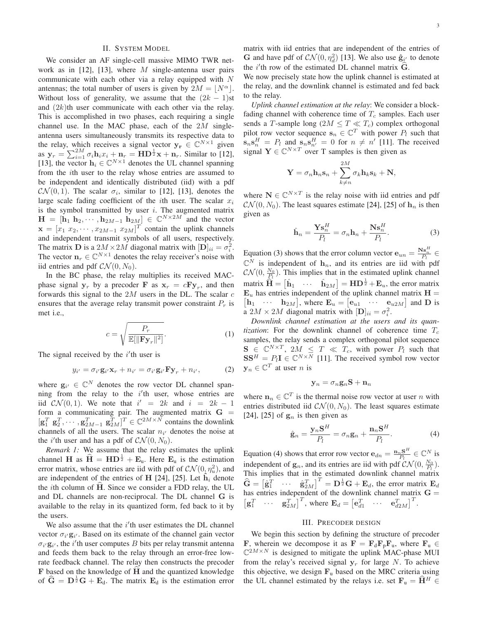#### II. SYSTEM MODEL

<span id="page-2-0"></span>We consider an AF single-cell massive MIMO TWR net-work as in [\[12\]](#page-15-11), [\[13\]](#page-15-13), where M single-antenna user pairs communicate with each other via a relay equipped with  $N$ antennas; the total number of users is given by  $2M = |N^{\alpha}|$ . Without loss of generality, we assume that the  $(2k - 1)$ st and  $(2k)$ th user communicate with each other via the relay. This is accomplished in two phases, each requiring a single channel use. In the MAC phase, each of the  $2M$  singleantenna users simultaneously transmits its respective data to the relay, which receives a signal vector  $y_r \in \mathbb{C}^{N \times 1}$  given as  $\mathbf{y}_r = \sum_{i=1}^{2M} \sigma_i \mathbf{h}_i x_i + \mathbf{n}_r = \mathbf{H} \mathbf{D}^{\frac{1}{2}} \mathbf{x} + \mathbf{n}_r$ . Similar to [\[12\]](#page-15-11), [\[13\]](#page-15-13), the vector  $\mathbf{h}_i \in \mathbb{C}^{N \times 1}$  denotes the UL channel spanning from the ith user to the relay whose entries are assumed to be independent and identically distributed (iid) with a pdf  $\mathcal{CN}(0,1)$ . The scalar  $\sigma_i$ , similar to [\[12\]](#page-15-11), [\[13\]](#page-15-13), denotes the large scale fading coefficient of the *i*th user. The scalar  $x_i$ is the symbol transmitted by user  $i$ . The augmented matrix  $\mathbf{H} = [\mathbf{h}_1 \; \mathbf{h}_2, \cdots, \mathbf{h}_{2M-1} \; \mathbf{h}_{2M}] \in \mathbb{C}^{N \times 2M}$  and the vector  $\mathbf{x} = [x_1 \ x_2, \cdots, x_{2M-1} \ x_{2M}]^T$  contain the uplink channels and independent transmit symbols of all users, respectively. The matrix **D** is a  $2M \times 2M$  diagonal matrix with  $[\mathbf{D}]_{ii} = \sigma_i^2$ . The vector  $\mathbf{n}_r \in \mathbb{C}^{N \times 1}$  denotes the relay receiver's noise with iid entries and pdf  $CN(0, N_0)$ .

In the BC phase, the relay multiplies its received MACphase signal  $y_r$  by a precoder **F** as  $x_r = cFy_r$ , and then forwards this signal to the  $2M$  users in the DL. The scalar  $c$ ensures that the average relay transmit power constraint  $P_r$  is met i.e.,

$$
c = \sqrt{\frac{P_r}{\mathbb{E}[\|\mathbf{F}\mathbf{y}_r\|^2]}}.\tag{1}
$$

The signal received by the  $i'$ <sup>th</sup> user is

$$
y_{i'} = \sigma_{i'} \mathbf{g}_{i'} \mathbf{x}_r + n_{i'} = \sigma_{i'} \mathbf{g}_{i'} \mathbf{F} \mathbf{y}_r + n_{i'}, \qquad (2)
$$

where  $\mathbf{g}_{i'} \in \mathbb{C}^N$  denotes the row vector DL channel spanning from the relay to the  $i'$ th user, whose entries are iid  $CN(0,1)$ . We note that  $i' = 2k$  and  $i = 2k - 1$ form a communicating pair. The augmented matrix  $G =$  $[\mathbf{g}_1^T \ \mathbf{g}_2^T, \cdots, \mathbf{g}_{2M-1}^T \ \mathbf{g}_{2M}^T]^T \in \mathbb{C}^{2M \times N}$  contains the downlink channels of all the users. The scalar  $n_{i'}$  denotes the noise at the *i*'th user and has a pdf of  $CN(0, N_0)$ .

*Remark 1:* We assume that the relay estimates the uplink channel H as  $\hat{H} = HD^{\frac{1}{2}} + E_u$ . Here  $E_u$  is the estimation error matrix, whose entries are iid with pdf of  $\mathcal{CN}(0, \eta_u^2)$ , and are independent of the entries of H [\[24\]](#page-15-23), [\[25\]](#page-15-24). Let  $\hat{h}_i$  denote the *i*th column of H. Since we consider a FDD relay, the UL and DL channels are non-reciprocal. The DL channel G is available to the relay in its quantized form, fed back to it by the users.

We also assume that the  $i$ <sup>'</sup>th user estimates the DL channel vector  $\sigma_{i'}\mathbf{g}_{i'}$ . Based on its estimate of the channel gain vector  $\sigma_{i'}\mathbf{g}_{i'}$ , the i'th user computes B bits per relay transmit antenna and feeds them back to the relay through an error-free lowrate feedback channel. The relay then constructs the precoder  **based on the knowledge of**  $**H**$  **and the quantized knowledge** of  $\hat{G} = D^{\frac{1}{2}}G + E_d$ . The matrix  $E_d$  is the estimation error matrix with iid entries that are independent of the entries of **G** and have pdf of  $CN(0, \eta_d^2)$  [\[13\]](#page-15-13). We also use  $\hat{\mathbf{g}}_{i'}$  to denote the  $i'$ th row of the estimated DL channel matrix  $\mathbf{G}$ .

We now precisely state how the uplink channel is estimated at the relay, and the downlink channel is estimated and fed back to the relay.

*Uplink channel estimation at the relay*: We consider a blockfading channel with coherence time of  $T_c$  samples. Each user sends a T-sample long ( $2M \leq T \ll T_c$ ) complex orthogonal pilot row vector sequence  $\mathbf{s}_n \in \mathbb{C}^T$  with power  $P_l$  such that  $\mathbf{s}_n \mathbf{s}_n^H = P_l$  and  $\mathbf{s}_n \mathbf{s}_{n'}^H = 0$  for  $n \neq n'$  [\[11\]](#page-15-10). The received signal  $\mathbf{Y} \in \mathbb{C}^{N \times T}$  over T samples is then given as

$$
\mathbf{Y} = \sigma_n \mathbf{h}_n \mathbf{s}_n + \sum_{k \neq n}^{2M} \sigma_k \mathbf{h}_k \mathbf{s}_k + \mathbf{N},
$$

where  $N \in \mathbb{C}^{N \times T}$  is the relay noise with iid entries and pdf  $\mathcal{CN}(0, N_0)$ . The least squares estimate [\[24\]](#page-15-23), [\[25\]](#page-15-24) of  $\mathbf{h}_n$  is then given as

<span id="page-2-2"></span>
$$
\hat{\mathbf{h}}_n = \frac{\mathbf{Y}\mathbf{s}_n^H}{P_l} = \sigma_n \mathbf{h}_n + \frac{\mathbf{N}\mathbf{s}_n^H}{P_l}.
$$
 (3)

Equation [\(3\)](#page-2-2) shows that the error column vector  $\mathbf{e}_{un} = \frac{\mathbf{N}\mathbf{s}_n^H}{P_t} \in$  $\mathbb{C}^N$  is independent of  $\mathbf{h}_n$ , and its entries are iid with pdf  $\mathcal{CN}(0, \frac{N_0}{\mathcal{R}})$ . This implies that in the estimated uplink channel matrix  $\hat{\mathbf{H}} = [\hat{\mathbf{h}}_1 \quad \cdots \quad \hat{\mathbf{h}}_{2M}] = \mathbf{H} \mathbf{D}^{\frac{1}{2}} + \mathbf{E}_u$ , the error matrix  $\mathbf{E}_u$  has entries independent of the uplink channel matrix  $\mathbf{H} =$  $\mathbf{h}_1$   $\cdots$   $\mathbf{h}_{2M}$ , where  $\mathbf{E}_u = \begin{bmatrix} \mathbf{e}_{u1} & \cdots & \mathbf{e}_{u2M} \end{bmatrix}$  and  $\mathbf{D}$  is a  $2M \times 2M$  diagonal matrix with  $[\mathbf{D}]_{ii} = \sigma_i^2$ .

<span id="page-2-5"></span>*Downlink channel estimation at the users and its quantization*: For the downlink channel of coherence time  $T_c$ samples, the relay sends a complex orthogonal pilot sequence  $S \in \mathbb{C}^{N \times T}$ ,  $2M \leq T \ll T_c$ , with power  $P_l$  such that  $SS^H = P_l I \in \mathbb{C}^{N \times N}$  [\[11\]](#page-15-10). The received symbol row vector  $y_n \in \mathbb{C}^T$  at user *n* is

<span id="page-2-3"></span>
$$
\mathbf{y}_n = \sigma_n \mathbf{g}_n \mathbf{S} + \mathbf{n}_n
$$

<span id="page-2-4"></span>where  $\mathbf{n}_n \in \mathbb{C}^T$  is the thermal noise row vector at user *n* with entries distributed iid  $\mathcal{CN}(0, N_0)$ . The least squares estimate [\[24\]](#page-15-23), [\[25\]](#page-15-24) of  $g_n$  is then given as

$$
\hat{\mathbf{g}}_n = \frac{\mathbf{y}_n \mathbf{S}^H}{P_l} = \sigma_n \mathbf{g}_n + \frac{\mathbf{n}_n \mathbf{S}^H}{P_l}.
$$
 (4)

Equation [\(4\)](#page-2-3) shows that error row vector  $\mathbf{e}_{dn} = \frac{\mathbf{n}_n \mathbf{S}^H}{P_l} \in \mathbb{C}^N$  is Equation (4) shows that error fow vector  $e_{an} = P_l \le \infty$  is<br>independent of  $g_n$ , and its entries are iid with pdf  $CN(0, \frac{N_0}{P_l})$ . This implies that in the estimated downlink channel matrix  $\hat{\mathbf{G}} = \begin{bmatrix} \hat{\mathbf{g}}_1^T & \cdots & \hat{\mathbf{g}}_{2M}^T \end{bmatrix}^T = \mathbf{D}^{\frac{1}{2}}\mathbf{G} + \mathbf{E}_d$ , the error matrix  $\mathbf{E}_d$ has entries independent of the downlink channel matrix  $G =$  $\begin{bmatrix} \mathbf{g}_1^T & \cdots & \mathbf{g}_{2M}^T \end{bmatrix}^T$ , where  $\mathbf{E}_d = \begin{bmatrix} \mathbf{e}_{d1}^T & \cdots & \mathbf{e}_{d2M}^T \end{bmatrix}^T$ .

## III. PRECODER DESIGN

<span id="page-2-1"></span>We begin this section by defining the structure of precoder F, wherein we decompose it as  $\mathbf{F} = \mathbf{F}_{d} \mathbf{F}_{p} \mathbf{F}_{u}$ , where  $\mathbf{F}_{u} \in$  $\mathbb{C}^{2M\times N}$  is designed to mitigate the uplink MAC-phase MUI from the relay's received signal  $y_r$  for large N. To achieve this objective, we design  $F<sub>u</sub>$  based on the MRC criteria using the UL channel estimated by the relays i.e. set  $\mathbf{F}_{\mathbf{u}} = \hat{\mathbf{H}}^H \in$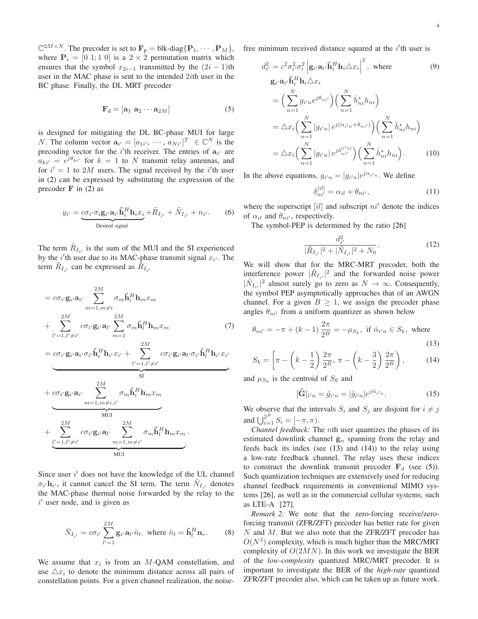$\mathbb{C}^{2M \times N}$ . The precoder is set to  $\mathbf{F}_p = \text{blk-diag}\{\mathbf{P}_1, \cdots, \mathbf{P}_M\},\$ where  $P_i = [0 \ 1; 1 \ 0]$  is a  $2 \times 2$  permutation matrix which ensures that the symbol  $x_{2i-1}$  transmitted by the  $(2i - 1)$ th user in the MAC phase is sent to the intended  $2*i*$ th user in the BC phase. Finally, the DL MRT precoder

<span id="page-3-2"></span>
$$
\mathbf{F}_{d} = [\mathbf{a}_{1} \ \mathbf{a}_{2} \cdots \mathbf{a}_{2M}] \tag{5}
$$

is designed for mitigating the DL BC-phase MUI for large *N*. The column vector  $\mathbf{a}_{i'} = [a_{1i'}, \dots, a_{Ni'}]^T \in \mathbb{C}^N$  is the precoding vector for the *i*'th receiver. The entries of  $a_{i'}$  are  $a_{ki'} = e^{j\theta_{ki'}}$  for  $k = 1$  to N transmit relay antennas, and for  $i' = 1$  to 2M users. The signal received by the i'll user in [\(2\)](#page-2-4) can be expressed by substituting the expression of the precoder  $\bf{F}$  in [\(2\)](#page-2-4) as

$$
y_{i'} = \underbrace{c\sigma_{i'}\sigma_i\mathbf{g}_{i'}\mathbf{\hat{h}}_{i'}^H\mathbf{h}_{i}x_i}_{\text{Desired signal}} + \tilde{R}_{I_{i'}} + \tilde{N}_{I_{i'}} + n_{i'}.
$$
 (6)

The term  $\tilde{R}_{I_{i'}}$  is the sum of the MUI and the SI experienced by the  $i'$ th user due to its MAC-phase transmit signal  $x_{i'}$ . The term  $\tilde{R}_{I_{i'}}$  can be expressed as  $\tilde{R}_{I_{i'}}$ 

$$
= c\sigma_{i'}\mathbf{g}_{i'}\mathbf{a}_{i'} \sum_{m=1,m\neq i}^{2M} \sigma_m \hat{\mathbf{h}}_i^H \mathbf{h}_m x_m
$$
  
+ 
$$
\sum_{l'=1,l'\neq i'}^{2M} c\sigma_{i'}\mathbf{g}_{i'}\mathbf{a}_{l'} \sum_{m=1}^{2M} \sigma_m \hat{\mathbf{h}}_l^H \mathbf{h}_m x_m
$$
(7)

$$
= \underbrace{c\sigma_{i'}\mathbf{g}_{i'}\mathbf{a}_{i'}\sigma_{i'}\mathbf{\hat{h}}_{i}^H\mathbf{h}_{i'}x_{i'} + \sum_{l'=1,l'\neq i'}^{2M}\underbrace{c\sigma_{i'}\mathbf{g}_{i'}\mathbf{a}_{l'}\sigma_{i'}\mathbf{\hat{h}}_{l}^H\mathbf{h}_{i'}x_{i'}}_{\text{SI}}}{\sum_{m=1,m\neq i,i'}^{2M}\sigma_m\mathbf{\hat{h}}_{i}^H\mathbf{h}_{m}x_{m}}
$$

$$
+ \underbrace{\sum_{l'=1, l'\neq i'}^{2M} c\sigma_{i'}\mathbf{g}_{i'}\mathbf{a}_{l'}}_{\text{MUI}} \underbrace{\sum_{m=1, m\neq i'}^{2M}\sigma_m\mathbf{\hat{h}}_l^H\mathbf{h}_m x_m}_{\text{MUI}}.
$$

Since user  $i'$  does not have the knowledge of the UL channel  $\sigma_{i'}$ **h**<sub>i</sub>, it cannot cancel the SI term. The term  $\tilde{N}_{I_{i'}}$  denotes the MAC-phase thermal noise forwarded by the relay to the  $i'$  user node, and is given as

$$
\tilde{N}_{I_{i'}} = c\sigma_{i'} \sum_{l'=1}^{2M} \mathbf{g}_{i'} \mathbf{a}_{l'} \tilde{n}_l, \text{ where } \tilde{n}_l = \hat{\mathbf{h}}_l^H \mathbf{n}_r. \tag{8}
$$

We assume that  $x_i$  is from an M-QAM constellation, and use  $\triangle x_i$  to denote the minimum distance across all pairs of constellation points. For a given channel realization, the noisefree minimum received distance squared at the  $i'$ th user is

<span id="page-3-5"></span>
$$
d_{i'}^2 = c^2 \sigma_{i'}^2 \sigma_i^2 \left| \mathbf{g}_{i'} \mathbf{a}_{i'} \mathbf{\hat{h}}_i^H \mathbf{h}_i \triangle x_i \right|^2, \text{ where}
$$
\n
$$
\mathbf{g}_{i'} \mathbf{a}_{i'} \mathbf{\hat{h}}_i^H \mathbf{h}_i \triangle x_i
$$
\n
$$
= \Big( \sum_{n=1}^N g_{i'n} e^{j\theta_{ni'}} \Big) \Big( \sum_{n=1}^N \hat{h}_{ni}^* h_{ni} \Big)
$$
\n
$$
= \triangle x_i \Big( \sum_{n=1}^N |g_{i'n}| e^{j(\alpha_{i'n} + \theta_{ni'})} \Big) \Big( \sum_{n=1}^N \hat{h}_{ni}^* h_{ni} \Big)
$$
\n
$$
= \triangle x_i \Big( \sum_{n=1}^N |g_{i'n}| e^{j\delta_{ni'}^{[i'n]}} \Big) \Big( \sum_{n=1}^N \hat{h}_{ni}^* h_{ni} \Big). \tag{10}
$$

In the above equations,  $g_{i'n} = |g_{i'n}|e^{j\alpha_{i'n}}$ . We define

<span id="page-3-7"></span><span id="page-3-6"></span>
$$
\delta_{ni'}^{[il]} = \alpha_{il} + \theta_{ni'},\tag{11}
$$

where the superscript  $[i]$  and subscript  $ni'$  denote the indices of  $\alpha_{il}$  and  $\theta_{ni'}$ , respectively.

The symbol-PEP is determined by the ratio [\[26\]](#page-15-25)

$$
\frac{d_{i'}^2}{|\tilde{R}_{I_{i'}}|^2 + |\tilde{N}_{I_{i'}}|^2 + N_0}.
$$
\n(12)

We will show that for the MRC-MRT precoder, both the interference power  $|\tilde{R}_{I_{i'}}|^2$  and the forwarded noise power  $|\tilde{N}_{I_{i'}}|^2$  almost surely go to zero as  $N \to \infty$ . Consequently, the symbol PEP asymptotically approaches that of an AWGN channel. For a given  $B \geq 1$ , we assign the precoder phase angles  $\theta_{ni'}$  from a uniform quantizer as shown below

<span id="page-3-3"></span>
$$
\theta_{ni'} = -\pi + (k-1)\frac{2\pi}{2^B} = -\mu_{S_k}
$$
, if  $\hat{\alpha}_{i'n} \in S_k$ , where\n(13)

$$
S_k = \left[ \pi - \left( k - \frac{1}{2} \right) \frac{2\pi}{2^B}, \pi - \left( k - \frac{3}{2} \right) \frac{2\pi}{2^B} \right), \quad (14)
$$

and  $\mu_{S_k}$  is the centroid of  $S_k$  and

′

<span id="page-3-8"></span><span id="page-3-1"></span><span id="page-3-0"></span>
$$
[\widehat{\mathbf{G}}]_{i'n} = \widehat{g}_{i'n} = |\widehat{g}_{i'n}|e^{j\widehat{\alpha}_{i'n}}.
$$
 (15)

We observe that the intervals  $S_i$  and  $S_j$  are disjoint for  $i \neq j$ and  $\bigcup_{i=1}^{2^B} S_i = [-\pi, \pi)$ .

*Channel feedback:* The nth user quantizes the phases of its estimated downlink channel  $\hat{\mathbf{g}}_n$  spanning from the relay and feeds back its index (see [\(13\)](#page-3-0) and [\(14\)](#page-3-1)) to the relay using a low-rate feedback channel. The relay uses these indices to construct the downlink transmit precoder  $F<sub>d</sub>$  (see [\(5\)](#page-3-2)). Such quantization techniques are extensively used for reducing channel feedback requirements in conventional MIMO systems [\[26\]](#page-15-25), as well as in the commercial cellular systems, such as LTE-A [\[27\]](#page-15-26).

<span id="page-3-4"></span>*Remark 2:* We note that the zero-forcing receive/zeroforcing transmit (ZFR/ZFT) precoder has better rate for given  $N$  and  $M$ . But we also note that the ZFR/ZFT precoder has  $O(N^3)$  complexity, which is much higher than the MRC/MRT complexity of  $O(2MN)$ . In this work we investigate the BER of the *low-complexity* quantized MRC/MRT precoder. It is important to investigate the BER of the *high-rate* quantized ZFR/ZFT precoder also, which can be taken up as future work.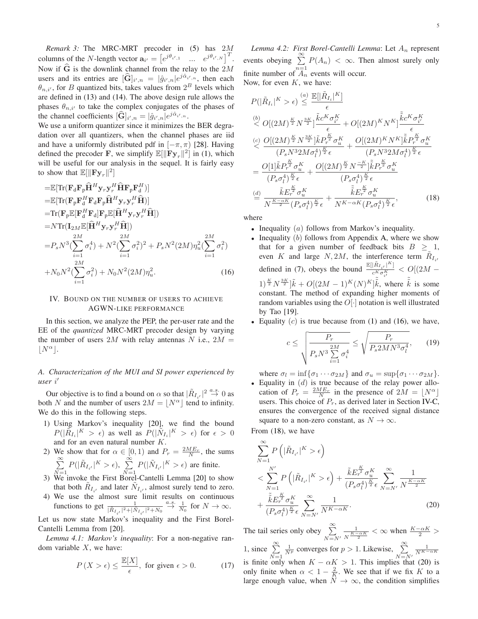*Remark 3:* The MRC-MRT precoder in [\(5\)](#page-3-2) has 2M columns of the *N*-length vector  $\mathbf{a}_{i'} = \begin{bmatrix} e^{j\theta_{i',1}} & \dots & e^{j\theta_{i',N}} \end{bmatrix}^T$ . Now if  $\hat{G}$  is the downlink channel from the relay to the 2M users and its entries are  $[\widehat{\mathbf{G}}]_{i',n} = |\widehat{g}_{i',n}|e^{j\widehat{\alpha}_{i',n}}$ , then each  $\theta_{n,i'}$ , for *B* quantized bits, takes values from  $2^B$  levels which are defined in [\(13\)](#page-3-0) and [\(14\)](#page-3-1). The above design rule allows the phases  $\theta_{n,i'}$  to take the complex conjugates of the phases of the channel coefficients  $[\widehat{\mathbf{G}}]_{i',n} = |\hat{g}_{i',n}|e^{j\hat{\alpha}_{i',n}}$ .

We use a uniform quantizer since it minimizes the BER degradation over all quantizers, when the channel phases are iid and have a uniformly distributed pdf in  $[-\pi, \pi)$  [\[28\]](#page-15-27). Having defined the precoder **F**, we simplify  $\mathbb{E}[\|\mathbf{Fy}_r\|^2]$  in [\(1\)](#page-2-5), which will be useful for our analysis in the sequel. It is fairly easy to show that  $\mathbb{E}[\|\mathbf{Fy}_r\|^2]$ 

$$
\begin{split}\n&= \mathbb{E}[\text{Tr}(\mathbf{F}_{d}\mathbf{F}_{p}\hat{\mathbf{H}}^{H}\mathbf{y}_{r}\mathbf{y}_{r}^{H}\hat{\mathbf{H}}\mathbf{F}_{p}\mathbf{F}_{d}^{H})] \\
&= \mathbb{E}[\text{Tr}(\mathbf{F}_{p}\mathbf{F}_{d}^{H}\mathbf{F}_{d}\mathbf{F}_{p}\hat{\mathbf{H}}^{H}\mathbf{y}_{r}\mathbf{y}_{r}^{H}\hat{\mathbf{H}})] \\
&= \text{Tr}(\mathbf{F}_{p}\mathbb{E}[\mathbf{F}_{d}^{H}\mathbf{F}_{d}]\mathbf{F}_{p}\mathbb{E}[\hat{\mathbf{H}}^{H}\mathbf{y}_{r}\mathbf{y}_{r}^{H}\hat{\mathbf{H}}]) \\
&= N \text{Tr}(\mathbf{I}_{2M}\mathbb{E}[\hat{\mathbf{H}}^{H}\mathbf{y}_{r}\mathbf{y}_{r}^{H}\hat{\mathbf{H}}]) \\
&= P_{s} N^{3} (\sum_{i=1}^{2M} \sigma_{i}^{4}) + N^{2} (\sum_{i=1}^{2M} \sigma_{i}^{2})^{2} + P_{s} N^{2} (2M) \eta_{u}^{2} (\sum_{i=1}^{2M} \sigma_{i}^{2}) \\
&+ N_{0} N^{2} (\sum_{i=1}^{2M} \sigma_{i}^{2}) + N_{0} N^{2} (2M) \eta_{u}^{2}.\n\end{split} \tag{16}
$$

## <span id="page-4-0"></span>IV. BOUND ON THE NUMBER OF USERS TO ACHIEVE AGWN-LIKE PERFORMANCE

In this section, we analyze the PEP, the per-user rate and the EE of the *quantized* MRC-MRT precoder design by varying the number of users 2M with relay antennas N i.e.,  $2M =$  $|N^{\alpha}|.$ 

# *A. Characterization of the MUI and SI power experienced by user* i ′

Our objective is to find a bound on  $\alpha$  so that  $|\tilde{R}_{I_{i'}}|^2 \stackrel{a.s.}{\rightarrow} 0$  as both N and the number of users  $2M = |N^{\alpha}|$  tend to infinity. We do this in the following steps.

- 1) Using Markov's inequality [\[20\]](#page-15-19), we find the bound  $P(|\tilde{R}_{I_i}|^K > \epsilon)$  as well as  $P(|\tilde{N}_{I_i}|^K > \epsilon)$  for  $\epsilon > 0$ and for an even natural number K.
- 2) We show that for  $\alpha \in [0, 1)$  and  $P_r = \frac{2ME_r}{N}$ , the sums  $\sum_{i=1}^{\infty}$  $\sum_{N=1}^{\infty} P(|\tilde{R}_{I_{i'}}|^K > \epsilon), \sum_{N=1}^{\infty}$  $\sum_{N=1}^{\infty} P(|\tilde{N}_{I_{i'}}|^K > \epsilon)$  are finite.
- 3) We invoke the First Borel-Cantelli Lemma [\[20\]](#page-15-19) to show that both  $\tilde{R}_{I_{i'}}$  and later  $\tilde{N}_{I_{i'}}$ , almost surely tend to zero.
- 4) We use the almost sure limit results on continuous functions to get  $\frac{1}{|\tilde{R}_{I_{i'}}|^2 + |\tilde{N}_{I_{i'}}|^2 + N_0} \stackrel{a.s.}{\rightarrow} \frac{1}{N_0}$  for  $N \rightarrow \infty$ .

Let us now state Markov's inequality and the First Borel-Cantelli Lemma from [\[20\]](#page-15-19).

<span id="page-4-4"></span>*Lemma 4.1: Markov's inequality*: For a non-negative random variable  $X$ , we have:

$$
P(X > \epsilon) \le \frac{\mathbb{E}[X]}{\epsilon}, \text{ for given } \epsilon > 0. \tag{17}
$$

*Lemma 4.2: First Borel-Cantelli Lemma: Let*  $A_n$  represent events obeying  $\sum_{n=1}^{\infty} P(A_n) < \infty$ . Then almost surely only finite number of  $A_n$  events will occur. Now, for even  $K$ , we have:

$$
P(|\tilde{R}_{I_i}|^{K} > \epsilon) \leq \frac{[|\tilde{R}_{I_i}|^{K}]}{\epsilon}
$$
  
\n
$$
\frac{[b]}{\epsilon} O[(2M)^{\frac{K}{2}} N^{\frac{3K}{2}}] \frac{\tilde{k}c^{K} \sigma_{i'}^{K}}{\epsilon} + O[(2M)^{K} N^{K}] \frac{\tilde{k}c^{K} \sigma_{i'}^{K}}{\epsilon}
$$
  
\n
$$
\frac{[c]}{\epsilon} O[(2M)^{\frac{K}{2}} N^{\frac{3K}{2}}] \tilde{k} P_{r}^{\frac{K}{2}} \sigma_{u}^{K}}{\left(P_{s} N^{3} 2M \sigma_{l}^{4}\right)^{\frac{K}{2}} \epsilon} + \frac{O[(2M)^{K} N^{K}] \tilde{k} P_{r}^{\frac{K}{2}} \sigma_{u}^{K}}{\left(P_{s} N^{3} 2M \sigma_{l}^{4}\right)^{\frac{K}{2}} \epsilon}
$$
  
\n
$$
= \frac{O[1] \tilde{k} P_{r}^{\frac{K}{2}} \sigma_{u}^{K}}{\left(P_{s} \sigma_{l}^{4}\right)^{\frac{K}{2}} \epsilon} + \frac{O[(2M)^{\frac{K}{2}} N^{-\frac{K}{2}}] \tilde{k} P_{r}^{\frac{K}{2}} \sigma_{u}^{K}}{\left(P_{s} \sigma_{l}^{4}\right)^{\frac{K}{2}} \epsilon}
$$
  
\n
$$
\frac{[d]}{N} \frac{\tilde{k} E_{r}^{\frac{K}{2}} \sigma_{u}^{K}}{\pi^{\frac{K}{2}} \left(P_{s} \sigma_{l}^{4}\right)^{\frac{K}{2}} \epsilon} + \frac{\tilde{k} E_{r}^{\frac{K}{2}} \sigma_{u}^{K}}{N^{K - \alpha K} \left(P_{s} \sigma_{l}^{4}\right)^{\frac{K}{2}} \epsilon}, \qquad (18)
$$

where

- <span id="page-4-2"></span>• Inequality  $(a)$  follows from Markov's inequality.
- <span id="page-4-1"></span>• Inequality  $(b)$  follows from Appendix [A,](#page-12-0) where we show that for a given number of feedback bits  $B > 1$ , even K and large  $N, 2M$ , the interference term  $\tilde{R}_{I_i}$ defined in [\(7\)](#page-3-3), obeys the bound  $\frac{\mathbb{E}[\left|\tilde{R}_{I_{i'}}\right|^{K}]}{\sigma^{K} \sigma^{K}}$  $\frac{1}{c^K \sigma_{i'}^{K}} < O[(2M (1)^{\frac{K}{2}} N^{\frac{3K}{2}} \big] \tilde{k} + O[(2M-1)^K(N)^K] \tilde{\tilde{k}}$ , where  $\tilde{\tilde{k}}$  is some constant. The method of expanding higher moments of random variables using the  $O[\cdot]$  notation is well illustrated by Tao [\[19\]](#page-15-18).
- Equality  $(c)$  is true because from [\(1\)](#page-2-5) and [\(16\)](#page-4-1), we have,

<span id="page-4-5"></span>
$$
c \le \sqrt{\frac{P_r}{P_s N^3 \sum\limits_{i=1}^{2M} \sigma_i^4}} \le \sqrt{\frac{P_r}{P_s 2MN^3 \sigma_l^4}},\qquad(19)
$$

where  $\sigma_l = \inf \{ \sigma_1 \cdots \sigma_{2M} \}$  and  $\sigma_u = \sup \{ \sigma_1 \cdots \sigma_{2M} \}.$ 

• Equality in  $(d)$  is true because of the relay power allocation of  $P_r = \frac{2ME_r}{N}$  in the presence of  $2M = \lfloor N^{\alpha} \rfloor$ users. This choice of  $P_r$ , as derived later in Section [IV-C,](#page-6-0) ensures the convergence of the received signal distance square to a non-zero constant, as  $N \to \infty$ .

From [\(18\)](#page-4-2), we have

<span id="page-4-3"></span>
$$
\sum_{N=1}^{\infty} P\left(|\tilde{R}_{I_{i'}}|^K > \epsilon\right)
$$
\n
$$
< \sum_{N=1}^{N'} P\left(|\tilde{R}_{I_{i'}}|^K > \epsilon\right) + \frac{\tilde{k}E_r^{\frac{K}{2}} \sigma_u^K}{(P_s \sigma_l^4)^{\frac{K}{2}} \epsilon} \sum_{N=N'}^{\infty} \frac{1}{N^{\frac{K-\alpha K}{2}}} + \frac{\tilde{k}E_r^{\frac{K}{2}} \sigma_u^K}{(P_s \sigma_l^4)^{\frac{K}{2}} \epsilon} \sum_{N=N'}^{\infty} \frac{1}{N^{K-\alpha K}}.
$$
\n(20)

<span id="page-4-6"></span>The tail series only obey  $\sum_{n=1}^{\infty}$  $N = N'$ 1  $\frac{1}{N^{\frac{K-\alpha K}{2}}}$  <  $\infty$  when  $\frac{K-\alpha K}{2}$  > 1, since  $\sum^{\infty}$  $N=1$  $\frac{1}{N^p}$  converges for  $p > 1$ . Likewise,  $\sum_{N=N'}^{\infty}$  $\frac{1}{N^{K-\alpha K}}$ is finite only when  $K - \alpha K > 1$ . This implies that [\(20\)](#page-4-3) is only finite when  $\alpha < 1 - \frac{2}{K}$ . We see that if we fix K to a large enough value, when  $N \to \infty$ , the condition simplifies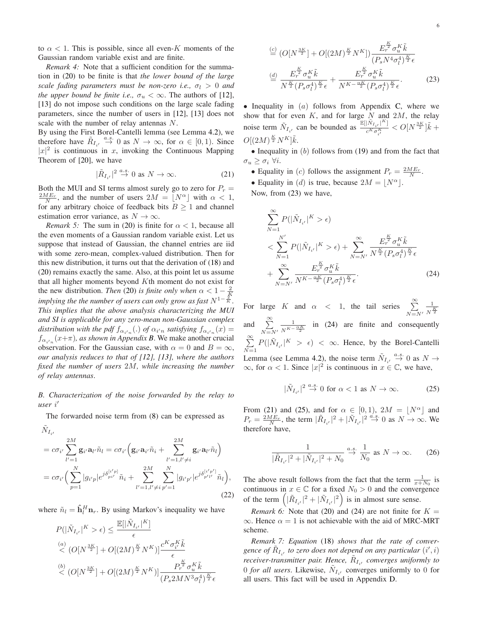*Remark 4:* Note that a sufficient condition for the summation in [\(20\)](#page-4-3) to be finite is that *the lower bound of the large scale fading parameters must be non-zero i.e.,*  $\sigma_l > 0$  *and the upper bound be finite i.e.,*  $\sigma_u < \infty$ . The authors of [\[12\]](#page-15-11), [\[13\]](#page-15-13) do not impose such conditions on the large scale fading parameters, since the number of users in [\[12\]](#page-15-11), [\[13\]](#page-15-13) does not scale with the number of relay antennas N.

By using the First Borel-Cantelli lemma (see Lemma [4.2\)](#page-4-4), we therefore have  $\tilde{R}_{I_{i'}} \stackrel{a.s.}{\rightarrow} 0$  as  $N \rightarrow \infty$ , for  $\alpha \in [0,1)$ . Since  $|x|^2$  is continuous in x, invoking the Continuous Mapping Theorem of [\[20\]](#page-15-19), we have

<span id="page-5-4"></span>
$$
|\tilde{R}_{I_{i'}}|^2 \stackrel{a.s.}{\to} 0 \text{ as } N \to \infty. \tag{21}
$$

Both the MUI and SI terms almost surely go to zero for  $P_r =$  $\frac{2ME_r}{N}$ , and the number of users  $2M = \lfloor N^{\alpha} \rfloor$  with  $\alpha < 1$ , for any arbitrary choice of feedback bits  $B \ge 1$  and channel estimation error variance, as  $N \to \infty$ .

*Remark 5:* The sum in [\(20\)](#page-4-3) is finite for  $\alpha < 1$ , because all the even moments of a Gaussian random variable exist. Let us suppose that instead of Gaussian, the channel entries are iid with some zero-mean, complex-valued distribution. Then for this new distribution, it turns out that the derivation of [\(18\)](#page-4-2) and [\(20\)](#page-4-3) remains exactly the same. Also, at this point let us assume that all higher moments beyond Kth moment do not exist for the new distribution. *Then* [\(20\)](#page-4-3) *is finite only when*  $\alpha < 1 - \frac{2}{K}$ *implying the the number of users can only grow as fast*  $N^{1-\frac{2}{K}}$ *. This implies that the above analysis characterizing the MUI and SI is applicable for any zero-mean non-Gaussian complex* distribution with the pdf  $f_{\alpha_{i'n}}(.)$  of  $\alpha_{i'n}$  satisfying  $f_{\alpha_{i'n}}(x) =$  $f_{\alpha_{i'n}}(x+\pi)$ , as shown in Appendix **[B](#page-13-0)**. We make another crucial observation. For the Gaussian case, with  $\alpha = 0$  and  $B = \infty$ , *our analysis reduces to that of [\[12\]](#page-15-11), [\[13\]](#page-15-13), where the authors fixed the number of users* 2M*, while increasing the number of relay antennas*.

*B. Characterization of the noise forwarded by the relay to user* i ′

The forwarded noise term from [\(8\)](#page-3-4) can be expressed as

$$
\tilde{N}_{I_{i'}}
$$
\n
$$
= c\sigma_{i'} \sum_{l'=1}^{2M} \mathbf{g}_{i'} \mathbf{a}_{l'} \tilde{n}_l = c\sigma_{i'} \Big( \mathbf{g}_{i'} \mathbf{a}_{i'} \tilde{n}_i + \sum_{l'=1, l'\neq i}^{2M} \mathbf{g}_{i'} \mathbf{a}_{l'} \tilde{n}_l \Big)
$$
\n
$$
= c\sigma_{i'} \Big( \sum_{p=1}^{N} |g_{i'p}| e^{j\delta_{pi'}^{[i'p]}} \tilde{n}_i + \sum_{l'=1, l'\neq i}^{2M} \sum_{p'=1}^{N} |g_{i'p'}| e^{j\delta_{p'l'}^{[i'p']}} \tilde{n}_l \Big),
$$
\n(22)

where  $\tilde{n}_l = \hat{\mathbf{h}}_l^H \mathbf{n}_r$ . By using Markov's inequality we have

$$
P(|\tilde{N}_{I_{i'}}|^K > \epsilon) \le \frac{\mathbb{E}[|\tilde{N}_{I_{i'}}|^K]}{\epsilon}
$$
  

$$
\langle O[N^{\frac{3K}{2}}] + O[(2M)^{\frac{K}{2}}N^K)] \frac{c^K \sigma_i^K \tilde{k}}{\epsilon}
$$
  

$$
\langle O[N^{\frac{3K}{2}}] + O[(2M)^{\frac{K}{2}}N^K)] \frac{P_r^{\frac{K}{2}} \sigma_u^K \tilde{k}}{(P_s 2MN^3 \sigma_l^4)^{\frac{K}{2}} \epsilon}
$$

<span id="page-5-0"></span>
$$
\stackrel{(c)}{=} (O[N^{\frac{3K}{2}}] + O[(2M)^{\frac{K}{2}}N^{K}]) \frac{E_{r}^{\frac{K}{2}} \sigma_{u}^{K} \tilde{k}}{(P_{s}N^{4}\sigma_{l}^{4})^{\frac{K}{2}} \epsilon}
$$
\n
$$
\stackrel{(d)}{=} \frac{E_{r}^{\frac{K}{2}} \sigma_{u}^{K} \tilde{k}}{N^{\frac{K}{2}} (P_{s}\sigma_{l}^{4})^{\frac{K}{2}} \epsilon} + \frac{E_{r}^{\frac{K}{2}} \sigma_{u}^{K} \tilde{k}}{N^{K - \frac{\alpha K}{2}} (P_{s}\sigma_{l}^{4})^{\frac{K}{2}} \epsilon}.
$$
\n(23)

• Inequality in  $(a)$  follows from Appendix [C,](#page-14-0) where we show that for even  $K$ , and for large N and  $2M$ , the relay noise term  $\tilde{N}_{I_{i'}}$  can be bounded as  $\frac{\mathbb{E}[\left|\tilde{N}_{I_{i'}}\right|^{K}]}{c^{K}\sigma_{i'}^{K}}$  $\frac{|N_{I_{i'}}|^{\cdots}}{c^{K}\sigma_{i'}^{K}} < O[N^{\frac{3K}{2}}]\tilde{k} +$  $O[(2M)^{\frac{K}{2}}N^K]\tilde{k}.$ 

<span id="page-5-2"></span>• Inequality in  $(b)$  follows from  $(19)$  and from the fact that  $\sigma_u \geq \sigma_i \,\,\forall i.$ 

- Equality in (c) follows the assignment  $P_r = \frac{2ME_r}{N}$ .
- Equality in (d) is true, because  $2M = |N^{\alpha}|$ .

Now, from [\(23\)](#page-5-0) we have,

<span id="page-5-1"></span>
$$
\sum_{N=1}^{\infty} P(|\tilde{N}_{I_{i'}}|^K > \epsilon)
$$
\n
$$
< \sum_{N=1}^{N'} P(|\tilde{N}_{I_{i'}}|^K > \epsilon) + \sum_{N=N'}^{\infty} \frac{E_r^{\frac{K}{2}} \sigma_u^K \tilde{k}}{N^{\frac{K}{2}} (P_s \sigma_l^4)^{\frac{K}{2}} \epsilon}
$$
\n
$$
+ \sum_{N=N'}^{\infty} \frac{E_r^{\frac{K}{2}} \sigma_u^K \tilde{k}}{N^{K - \frac{\alpha K}{2}} (P_s \sigma_l^4)^{\frac{K}{2}} \epsilon}.
$$
\n(24)

For large K and  $\alpha \, < 1$ , the tail series  $\sum_{n=1}^{\infty}$  $N = N'$ 1  $\overline{N^{\frac{K}{2}}}$ and  $\sum_{n=1}^{\infty}$  $N = N'$ 1  $\frac{1}{N^{K-\frac{\alpha K}{2}}}$  in [\(24\)](#page-5-1) are finite and consequently  $\sum_{i=1}^{\infty}$  $\sum_{N=1}^{\infty} P(|\tilde{N}_{I_{i'}}|^K > \epsilon) < \infty$ . Hence, by the Borel-Cantelli Lemma (see Lemma [4.2\)](#page-4-4), the noise term  $\tilde{N}_{I_{i'}} \stackrel{a.s.}{\rightarrow} 0$  as  $N \rightarrow$  $\infty$ , for  $\alpha < 1$ . Since  $|x|^2$  is continuous in  $x \in \mathbb{C}$ , we have,

<span id="page-5-3"></span>
$$
|\tilde{N}_{I_{i'}}|^2 \stackrel{a.s.}{\to} 0 \text{ for } \alpha < 1 \text{ as } N \to \infty.
$$
 (25)

From [\(21\)](#page-5-2) and [\(25\)](#page-5-3), and for  $\alpha \in [0, 1)$ ,  $2M = \lfloor N^{\alpha} \rfloor$  and  $P_r = \frac{2ME_r}{N}$ , the term  $|\tilde{R}_{I_{i'}}|^2 + |\tilde{N}_{I_{i'}}|^2 \stackrel{a.s.}{\rightarrow} 0$  as  $N \rightarrow \infty$ . We therefore have,

<span id="page-5-5"></span>
$$
\frac{1}{|\tilde{R}_{I_{i'}}|^2 + |\tilde{N}_{I_{i'}}|^2 + N_0} \xrightarrow{a.s.} \frac{1}{N_0} \text{ as } N \to \infty. \tag{26}
$$

<span id="page-5-6"></span>The above result follows from the fact that the term  $\frac{1}{x+N_0}$  is continuous in  $x \in \mathbb{C}$  for a fixed  $N_0 > 0$  and the convergence of the term  $\left( |\tilde{R}_{I_{i'}}|^2 + |\tilde{N}_{I_{i'}}|^2 \right)$  is in almost sure sense.

*Remark 6:* Note that [\(20\)](#page-4-3) and [\(24\)](#page-5-1) are not finite for  $K =$  $\infty$ . Hence  $\alpha = 1$  is not achievable with the aid of MRC-MRT scheme.

<span id="page-5-7"></span>*Remark 7: Equation* [\(18\)](#page-4-2) *shows that the rate of conver*gence of  $\tilde{R}_{I_{i'}}$  to zero does not depend on any particular  $(i',i)$ *receiver-transmitter pair. Hence,*  $R_{I_{i'}}$  *converges uniformly to* 0 *for all users*. Likewise,  $\tilde{N}_{I_{i'}}$  converges uniformly to 0 for all users. This fact will be used in Appendix [D.](#page-14-1)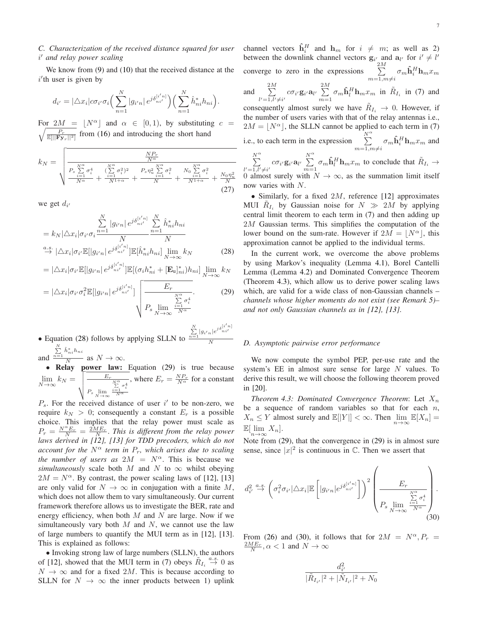# <span id="page-6-0"></span>*C. Characterization of the received distance squared for user* i ′ *and relay power scaling*

We know from [\(9\)](#page-3-5) and [\(10\)](#page-3-6) that the received distance at the  $i$ <sup>'</sup>th user is given by

$$
d_{i'} = |\triangle x_i| c \sigma_{i'} \sigma_i \Big(\sum_{n=1}^N |g_{i'n}| \, e^{j \delta_{ni'}^{[i'n]}} \Big) \Big(\sum_{n=1}^N \hat{h}_{ni}^* h_{ni}\Big).
$$

For  $2M = \lfloor N^{\alpha} \rfloor$  and  $\alpha \in [0, 1)$ , by substitutin  $\sqrt{\frac{P_r}{\mathbb{E}[||\mathbf{F}\mathbf{y}_r||^2]}}$  from [\(16\)](#page-4-1) and introducing the short hand For  $2M = |N^{\alpha}|$  and  $\alpha \in [0, 1)$ , by substituting  $c =$ 

$$
k_N = \sqrt{\frac{\frac{NP_r}{N^{\alpha}}}{\frac{P_s \sum\limits_{i=1}^{N^{\alpha}} \sigma_i^4}{N^{\alpha}} + \frac{(\sum\limits_{i=1}^{N^{\alpha}} \sigma_i^2)^2}{N^{1+\alpha}} + \frac{P_s \eta_u^2 \sum\limits_{i=1}^{N^{\alpha}} \sigma_i^2}{N} + \frac{N_0 \sum\limits_{i=1}^{N^{\alpha}} \sigma_i^2}{N^{1+\alpha}} + \frac{N_0 \eta_u^2}{N^2}}}
$$
(27)

we get  $d_{i'}$ 

$$
\sum_{i=1}^{N} |g_{i'n}| e^{j\delta_{ni'}^{[i'n]}} \frac{\sum_{i=1}^{N} \hat{h}_{ni}^* h_{ni}}{N} \n\stackrel{a.s.}{\rightarrow} |\triangle x_i|\sigma_{i'}\mathbb{E}[|g_{i'n}| e^{j\delta_{ni'}^{[i'n]}}] \mathbb{E}[\hat{h}_{ni}^* h_{ni}] \lim_{N \to \infty} k_N
$$
\n(28)

$$
= |\triangle x_i| \sigma_{i'} \mathbb{E}[|g_{i'n}| e^{j\delta_{ni'}^{[i'n]}}] \mathbb{E}[(\sigma_i h_{ni}^* + [\mathbf{E}_u]_{ni}^*) h_{ni}] \lim_{N \to \infty} k_N
$$

$$
= |\triangle x_i|\sigma_{i'}\sigma_i^2 \mathbb{E}[|g_{i'n}| e^{j\delta_{ni'}^{[i'n]}}] \sqrt{\frac{E_r}{P_s \lim_{\substack{\sum \limits_{i=1}^{N^{\alpha}} \sigma_i^4 \\ N \to \infty}}}}.
$$
 (29)

• Equation [\(28\)](#page-6-1) follows by applying SLLN to  $\sum_{n=1}^N|g_{i'n}|e^{j\delta_{ni'}^{[i'n]}}$ N and  $\sum_{n=1}^{N} \hat{h}_{ni}^{*} h_{ni}$  $\overline{N}$  as  $N \to \infty$ .

• Relay power law: Equation [\(29\)](#page-6-2) is true because  $\lim_{N\to\infty}k_N=\sqrt{\frac{E_r}{\frac{E_r}{E}}$  $P_s \lim_{N \to \infty}$  $\frac{N^{\alpha}}{\sum\limits_{i=1}^{N^{\alpha}}\sigma_i^4}$ , where  $E_r = \frac{NP_r}{N^{\alpha}}$  for a constant

 $P_s$ . For the received distance of user i' to be non-zero, we require  $k_N > 0$ ; consequently a constant  $E_r$  is a possible choice. This implies that the relay power must scale as  $P_r = \frac{N^{\alpha}E_r}{N} = \frac{2ME_r}{N}$ . This is different from the relay power *laws derived in [\[12\]](#page-15-11), [\[13\]](#page-15-13) for TDD precoders, which do not account for the*  $N^{\alpha}$  *term in*  $P_r$ *, which arises due to scaling the number of users as*  $2M = N^{\alpha}$ . This is because we *simultaneously* scale both M and N to  $\infty$  whilst obeying  $2M = N^{\alpha}$ . By contrast, the power scaling laws of [\[12\]](#page-15-11), [\[13\]](#page-15-13) are only valid for  $N \to \infty$  in conjugation with a finite M, which does not allow them to vary simultaneously. Our current framework therefore allows us to investigate the BER, rate and energy efficiency, when both  $M$  and  $N$  are large. Now if we simultaneously vary both  $M$  and  $N$ , we cannot use the law of large numbers to quantify the MUI term as in [\[12\]](#page-15-11), [\[13\]](#page-15-13). This is explained as follows:

• Invoking strong law of large numbers (SLLN), the authors of [\[12\]](#page-15-11), showed that the MUI term in [\(7\)](#page-3-3) obeys  $R_{I_i} \stackrel{a.s.}{\rightarrow} 0$  as  $N \to \infty$  and for a fixed 2M. This is because according to SLLN for  $N \to \infty$  the inner products between 1) uplink

channel vectors  $\hat{\mathbf{h}}_i^H$  and  $\mathbf{h}_m$  for  $i \neq m$ ; as well as 2) between the downlink channel vectors  $g_{i'}$  and  $a_{l'}$  for  $i' \neq l'$ converge to zero in the expressions  $\sum_{ }^{2M}$  $m=1,m\neq i$  $\sigma_m \mathbf{\hat{h}}_i^H \mathbf{h}_m x_m$ and  $\sum_{i=1}^{2M}$  $\sum_{l'=1,l'\neq i'} c\sigma_{i'}\mathbf{g}_{i'}\mathbf{a}_{l'}$  $\sum_{i=1}^{2}$  $\sum_{m=1}^{2m} \sigma_m \hat{\mathbf{h}}_l^H \mathbf{h}_m x_m$  in  $\tilde{R}_{I_i}$  in [\(7\)](#page-3-3) and consequently almost surely we have  $\tilde{R}_{I_i} \rightarrow 0$ . However, if the number of users varies with that of the relay antennas i.e.,  $2M = \lfloor N^{\alpha} \rfloor$ , the SLLN cannot be applied to each term in [\(7\)](#page-3-3) i.e., to each term in the expression  $\sum_{n=1}^{N^{\alpha}}$  $m=1, m\neq i$  $\sigma_m \hat{\mathbf{h}}_i^H \mathbf{h}_m x_m$  and  $\sum^{\alpha}$  $\sum_{l'=1,l'\neq i'} c\sigma_{i'}\mathbf{g}_{i'}\mathbf{a}_{l'}$  $\sum^{\alpha}$  $\sum_{m=1}^{\infty} \sigma_m \hat{\mathbf{h}}_l^H \mathbf{h}_m x_m$  to conclude that  $\tilde{R}_{I_i} \to$ 0 almost surely with  $N \to \infty$ , as the summation limit itself now varies with N.

• Similarly, for a fixed  $2M$ , reference [\[12\]](#page-15-11) approximates MUI  $\tilde{R}_{I_i}$  by Gaussian noise for  $N \gg 2M$  by applying central limit theorem to each term in [\(7\)](#page-3-3) and then adding up  $2M$  Gaussian terms. This simplifies the computation of the lower bound on the sum-rate. However if  $2M = |N^{\alpha}|$ , this approximation cannot be applied to the individual terms.

<span id="page-6-2"></span><span id="page-6-1"></span>In the current work, we overcome the above problems by using Markov's inequality (Lemma [4.1\)](#page-4-6), Borel Cantelli Lemma (Lemma [4.2\)](#page-4-4) and Dominated Convergence Theorem (Theorem [4.3\)](#page-6-3), which allow us to derive power scaling laws which, are valid for a wide class of non-Gaussian channels – *channels whose higher moments do not exist (see Remark [5\)](#page-5-4)– and not only Gaussian channels as in [\[12\]](#page-15-11), [\[13\]](#page-15-13)*.

#### *D. Asymptotic pairwise error performance*

We now compute the symbol PEP, per-use rate and the system's  $EE$  in almost sure sense for large  $N$  values. To derive this result, we will choose the following theorem proved in [\[20\]](#page-15-19).

<span id="page-6-3"></span>*Theorem 4.3: Dominated Convergence Theorem: Let*  $X_n$ be a sequence of random variables so that for each  $n$ ,  $X_n \le Y$  almost surely and  $\mathbb{E}[|Y|] < \infty$ . Then  $\lim_{n \to \infty} \mathbb{E}[X_n] =$  $\mathbb{E}[\lim_{n\to\infty}X_n].$ 

Note from [\(29\)](#page-6-2), that the convergence in [\(29\)](#page-6-2) is in almost sure sense, since  $|x|^2$  is continuous in  $\mathbb{C}$ . Then we assert that

$$
d_{i'}^2 \stackrel{a.s.}{\rightarrow} \left(\sigma_i^2 \sigma_{i'}|\triangle x_i| \mathbb{E}\left[|g_{i'n}|e^{j\delta_{ni'}^{[i'n]}}\right]\right)^2 \left(\frac{E_r}{P_s \lim_{\substack{\sum\limits_{i=1}^{N^\alpha} \sigma_i^4 \\ N \to \infty}}}\right).
$$
\n(30)

From [\(26\)](#page-5-5) and [\(30\)](#page-6-4), it follows that for  $2M = N^{\alpha}, P_r =$  $\frac{2ME_r}{N}, \alpha < 1$  and  $N \to \infty$ 

<span id="page-6-4"></span>
$$
\frac{d_{i'}^2}{|\tilde{R}_{I_{i'}}|^2+|\tilde{N}_{I_{i'}}|^2+N_0}
$$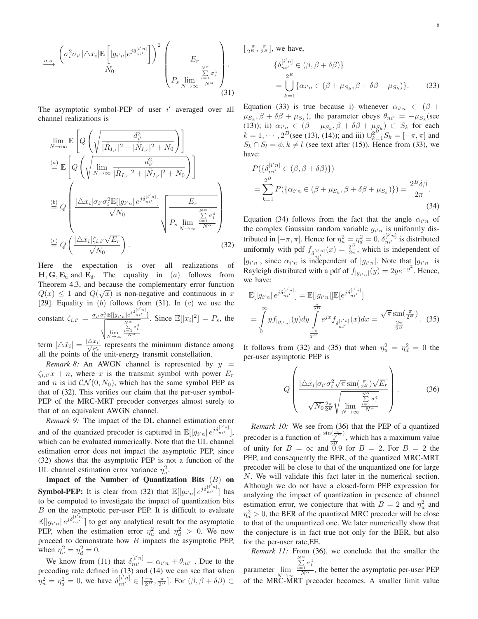$$
\xrightarrow{a.s.} \frac{\left(\sigma_i^2 \sigma_{i'}|\triangle x_i| \mathbb{E}\left[|g_{i'n}|e^{j\delta_{ni'}^{[i'n]}}\right]\right)^2}{N_0} \left(\frac{E_r}{P_s \lim_{N \to \infty} \frac{\sum\limits_{i=1}^{N^\alpha} \sigma_i^4}{N^\alpha}}\right).
$$
\n(31)

The asymptotic symbol-PEP of user  $i'$  averaged over all channel realizations is

$$
\lim_{N \to \infty} \mathbb{E} \left[ Q \left( \sqrt{\frac{d_{i'}^2}{|\tilde{R}_{I_{i'}}|^2 + |\tilde{N}_{I_{i'}}|^2 + N_0}} \right) \right]
$$
\n
$$
\stackrel{(a)}{=} \mathbb{E} \left[ Q \left( \sqrt{\frac{\lim_{N \to \infty} \frac{d_{i'}^2}{|\tilde{R}_{I_{i'}}|^2 + |\tilde{N}_{I_{i'}}|^2 + N_0}} \right) \right]
$$
\n
$$
\stackrel{(b)}{=} Q \left( \frac{|\Delta x_i| \sigma_{i'} \sigma_i^2 \mathbb{E}[|g_{i'n}| e^{j\delta_{ni'}^{[i'n]}}}{\sqrt{N_0}} \right) \frac{E_r}{P_s \lim_{N \to \infty} \frac{\sum\limits_{i=1}^{N^\alpha} \sigma_i^4}{N^\alpha}}
$$
\n
$$
\stackrel{(c)}{=} Q \left( \frac{|\Delta \tilde{x}_i| \zeta_{i,i'} \sqrt{E_r}}{\sqrt{N_0}} \right). \tag{32}
$$

Here the expectation is over all realizations of  $H, G, E_u$  and  $E_d$ . The equality in (a) follows from Theorem [4.3,](#page-6-3) and because the complementary error function  $Q(x) \leq 1$  and  $Q(\sqrt{x})$  is non-negative and continuous in x [\[29\]](#page-15-28). Equality in  $(b)$  follows from [\(31\)](#page-7-0). In  $(c)$  we use the constant  $\zeta_{i,i'} = \frac{\sigma_{i'} \sigma_i^2 \mathbb{E}[|g_{i'n}|e^{j\delta_{ni'}^{[i'n]}}]}{\sqrt{N}}$  $\sqrt{\lim_{N\to\infty}}$  $\frac{N^{\alpha}}{\sum\limits_{i=1}^{N^{\alpha}}\sigma_i^4}$ . Since  $\mathbb{E}[|x_i|^2] = P_s$ , the

term  $|\Delta \tilde{x}_i| = \frac{|\Delta x_i|}{\sqrt{P_s}}$  represents the minimum distance among all the points of the unit-energy transmit constellation.

*Remark 8:* An AWGN channel is represented by  $y =$  $\zeta_{i,i'}x + n$ , where x is the transmit symbol with power  $E_r$ and *n* is iid  $CN(0, N_0)$ , which has the same symbol PEP as that of [\(32\)](#page-7-1). This verifies our claim that the per-user symbol-PEP of the MRC-MRT precoder converges almost surely to that of an equivalent AWGN channel.

*Remark 9:* The impact of the DL channel estimation error and of the quantized precoder is captured in  $\mathbb{E}[|g_{i'n}| e^{j\delta_{ni}^{[i'n]}}]$ , which can be evaluated numerically. Note that the UL channel estimation error does not impact the asymptotic PEP, since [\(32\)](#page-7-1) shows that the asymptotic PEP is not a function of the UL channel estimation error variance  $\eta_u^2$ .

Impact of the Number of Quantization Bits (B) on **Symbol-PEP:** It is clear from [\(32\)](#page-7-1) that  $\mathbb{E}[|g_{i' n}| e^{j\delta_{ni'}^{[i' n]}}]$  has to be computed to investigate the impact of quantization bits B on the asymptotic per-user PEP. It is difficult to evaluate  $\mathbb{E}[|g_{i'n}|]$   $\mathbb{E}[|g_{i'n}|]$  to get any analytical result for the asymptotic PEP, when the estimation error  $\eta_u^2$  and  $\eta_d^2 > 0$ . We now proceed to demonstrate how  $B$  impacts the asymptotic PEP, when  $\eta_u^2 = \eta_d^2 = 0$ .

We know from [\(11\)](#page-3-7) that  $\delta_{ni'}^{[i'n]} = \alpha_{i'n} + \theta_{ni'}$ . Due to the precoding rule defined in [\(13\)](#page-3-0) and [\(14\)](#page-3-1) we can see that when  $\eta_u^2 = \eta_d^2 = 0$ , we have  $\delta_{ni'}^{[i'n]} \in \left[\frac{\pi}{2^B}, \frac{\pi}{2^B}\right]$ . For  $(\beta, \beta + \delta \beta) \subset$   $\left[\frac{-\pi}{2^B}, \frac{\pi}{2^B}\right]$ , we have,

<span id="page-7-2"></span>
$$
\{\delta_{ni'}^{[i'n]} \in (\beta, \beta + \delta\beta)\}
$$
  
= 
$$
\bigcup_{k=1}^{2^B} {\{\alpha_{i'n} \in (\beta + \mu_{S_k}, \beta + \delta\beta + \mu_{S_k})\}}.
$$
 (33)

<span id="page-7-0"></span>Equation [\(33\)](#page-7-2) is true because i) whenever  $\alpha_{i'n} \in (\beta +$  $\mu_{S_k}, \beta + \delta\beta + \mu_{S_k}$ ), the parameter obeys  $\theta_{ni'} = -\mu_{S_k}$  (see [\(13\)](#page-3-0)); ii)  $\alpha_{i' n} \in (\beta + \mu_{S_k}, \beta + \delta \beta + \mu_{S_k}) \subset S_k$  for each  $k = 1, \dots, 2^B$  (see [\(13\)](#page-3-0), [\(14\)](#page-3-1)); and iii)  $\bigcup_{k=1}^{B} S_k = [-\pi, \pi]$  and  $S_k \cap S_l = \phi, k \neq l$  (see text after [\(15\)](#page-3-8)). Hence from [\(33\)](#page-7-2), we have:

<span id="page-7-3"></span>
$$
P(\{\delta_{ni'}^{[i'n]}\in(\beta,\beta+\delta\beta)\})
$$
  
=
$$
\sum_{k=1}^{2^B} P(\{\alpha_{i'n}\in(\beta+\mu_{S_k},\beta+\delta\beta+\mu_{S_k})\}) = \frac{2^B\delta\beta}{2\pi}.
$$
  
(34)

<span id="page-7-1"></span>Equation [\(34\)](#page-7-3) follows from the fact that the angle  $\alpha_{i'n}$  of the complex Gaussian random variable  $g_{i'n}$  is uniformly distributed in  $[-\pi, \pi]$ . Hence for  $\eta_u^2 = \eta_d^2 = 0$ ,  $\delta_{ni'}^{[i'n]}$  is distributed uniformly with pdf  $f_{\delta_{ni'}^{[i'n]}}(x) = \frac{2^B}{2\pi}$  $\frac{2^2}{2\pi}$ , which is independent of  $|g_{i'n}|$ , since  $\alpha_{i'n}$  is independent of  $|g_{i'n}|$ . Note that  $|g_{i'n}|$  is Rayleigh distributed with a pdf of  $f_{|g_{i'n}|}(y) = 2ye^{-y^2}$ . Hence, we have:

$$
\mathbb{E}[|g_{i'n}| e^{j\delta_{ni'}^{[i'n]}}] = \mathbb{E}[|g_{i'n}|] \mathbb{E}[e^{j\delta_{ni'}^{[i'n]}}]
$$
  
= 
$$
\int_{0}^{\infty} y f_{|g_{i'n}|}(y) dy \int_{-\frac{\pi}{2B}}^{\frac{\pi}{2B}} e^{jx} f_{\delta_{ni'}^{[i'n]}}(x) dx = \frac{\sqrt{\pi} \sin(\frac{\pi}{2B})}{\frac{2\pi}{2B}}.
$$
 (35)

<span id="page-7-6"></span>It follows from [\(32\)](#page-7-1) and [\(35\)](#page-7-4) that when  $\eta_u^2 = \eta_d^2 = 0$  the per-user asymptotic PEP is

<span id="page-7-5"></span><span id="page-7-4"></span>
$$
Q\left(\frac{|\Delta \tilde{x}_i|\sigma_{i'}\sigma_i^2\sqrt{\pi}\sin(\frac{\pi}{2^B})\sqrt{E_r}}{\sqrt{N_0}\frac{2\pi}{2^B}\sqrt{\lim_{N\to\infty}\frac{\sum\limits_{i=1}^{N^{\alpha}}\sigma_i^4}{N^{\alpha}}}}\right).
$$
(36)

*Remark 10:* We see from [\(36\)](#page-7-5) that the PEP of a quantized precoder is a function of  $\frac{\sin(\frac{\pi}{2B})}{\pi}$ , which has a maximum value of unity for  $B = \infty$  and  $\frac{2^B}{0.9}$  for  $B = 2$ . For  $B = 2$  the PEP, and consequently the BER, of the quantized MRC-MRT precoder will be close to that of the unquantized one for large N. We will validate this fact later in the numerical section. Although we do not have a closed-form PEP expression for analyzing the impact of quantization in presence of channel estimation error, we conjecture that with  $B = 2$  and  $\eta_u^2$  and  $\eta_d^2 > 0$ , the BER of the quantized MRC precoder will be close to that of the unquantized one. We later numerically show that the conjecture is in fact true not only for the BER, but also for the per-user rate,EE.

*Remark 11:* From [\(36\)](#page-7-5), we conclude that the smaller the parameter lim of the MRC-MRT precoder becomes. A smaller limit value  $\sum_{i=1}^{N^{\alpha}} \sigma_i^4$ <br> $\frac{\sum_{i=1}^{N^{\alpha}} \sigma_i^4}{N^{\alpha}}$ , the better the asymptotic per-user PEP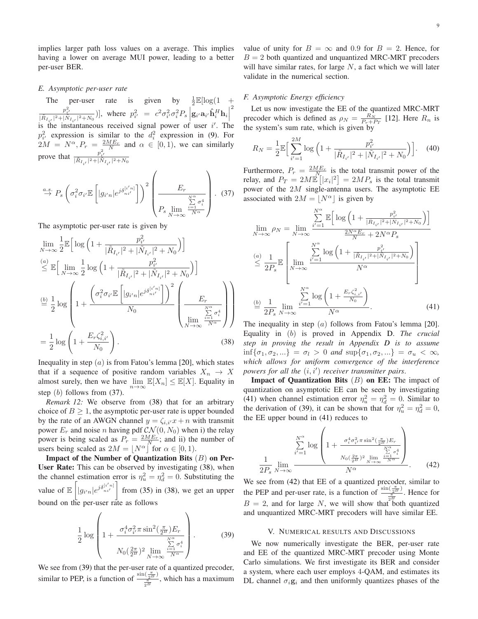implies larger path loss values on a average. This implies having a lower on average MUI power, leading to a better per-user BER.

#### *E. Asymptotic per-user rate*

The per-user rate is given by  $\frac{1}{2} \mathbb{E}[\log(1 + \frac{1}{2})]$  $\frac{p_{i'}^2}{|\tilde{R}_{I_{i'}}|^2 + |\tilde{N}_{I_{i'}}|^2 + N_0})$ , where  $p_{i'}^2 = c^2 \sigma_{i'}^2 \sigma_i^2 P_s \left| \mathbf{g}_{i'} \mathbf{a}_{i'} \hat{\mathbf{h}}_{i}^H \mathbf{h}_{i} \right|$ is the instantaneous received signal power of user i'. The 2  $p_{i'}^2$  expression is similar to the  $d_i^2$  expression in [\(9\)](#page-3-5). For  $2M = N^{\alpha}, P_r = \frac{2ME_r}{N}$  and  $\alpha \in [0, 1)$ , we can similarly prove that  $\frac{p_{i'}^2}{|\tilde{R}_{I_{i'}}|^2 + |\tilde{N}_{I_{i'}}|^2 + N_0}$ 

$$
\stackrel{a.s.}{\rightarrow} P_s \left( \sigma_i^2 \sigma_{i'} \mathbb{E} \left[ |g_{i'n}| e^{j \delta_{ni'}^{[i'n]}} \right] \right)^2 \left( \frac{E_r}{P_s \lim_{\substack{N \to \infty \\ N \to \infty}} \frac{\sum_{i=1}^N \sigma_i^4}{N^\alpha}} \right). \tag{37}
$$

The asymptotic per-user rate is given by

$$
\lim_{N \to \infty} \frac{1}{2} \mathbb{E} \Big[ \log \Big( 1 + \frac{p_{i'}^2}{|\tilde{R}_{I_{i'}}|^2 + |\tilde{N}_{I_{i'}}|^2 + N_0} \Big) \Big]
$$
\n
$$
\stackrel{(a)}{\leq} \mathbb{E} \Big[ \lim_{N \to \infty} \frac{1}{2} \log \Big( 1 + \frac{p_{i'}^2}{|\tilde{R}_{I_{i'}}|^2 + |\tilde{N}_{I_{i'}}|^2 + N_0} \Big) \Big]
$$
\n
$$
\stackrel{(b)}{=} \frac{1}{2} \log \left( 1 + \frac{\Big( \sigma_i^2 \sigma_{i'} \mathbb{E} \Big[ |g_{i'n}| e^{j\delta_{ni'}^{[i'n]}} \Big] \Big)^2}{N_0} \left( \frac{E_r}{\lim_{N \to \infty} \frac{\sum\limits_{i=1}^N \sigma_i^4}{N^\alpha}} \right) \right)
$$
\n
$$
= \frac{1}{2} \log \left( 1 + \frac{E_r \zeta_{i,i'}^2}{N_0} \right). \tag{38}
$$

Inequality in step  $(a)$  is from Fatou's lemma [\[20\]](#page-15-19), which states that if a sequence of positive random variables  $X_n \to X$ almost surely, then we have  $\lim_{n\to\infty} \mathbb{E}[X_n] \leq \mathbb{E}[X]$ . Equality in step (b) follows from [\(37\)](#page-8-1).

<span id="page-8-6"></span>*Remark 12:* We observe from [\(38\)](#page-8-2) that for an arbitrary choice of  $B \geq 1$ , the asymptotic per-user rate is upper bounded by the rate of an AWGN channel  $y = \zeta_{i,i'}x + n$  with transmit power  $E_r$  and noise n having pdf  $CN(0, N_0)$  when i) the relay power is being scaled as  $P_r = \frac{2ME_r}{N}$ ; and ii) the number of users being scaled as  $2M = |N^{\alpha}|$  for  $\alpha \in [0, 1)$ .

Impact of the Number of Quantization Bits  $(B)$  on Per-User Rate: This can be observed by investigating [\(38\)](#page-8-2), when the channel estimation error is  $\eta_u^2 = \eta_d^2 = 0$ . Substituting the value of  $\mathbb{E} \left[ \begin{array}{c} 0 \\ 0 \end{array} \right]$  $|g_{i^{\prime}n}|e^{j\delta^{[i^{\prime}n]}_{ni^{\prime}}}\Big]$ from [\(35\)](#page-7-4) in [\(38\)](#page-8-2), we get an upper bound on the per-user rate as follows

$$
\frac{1}{2}\log\left(1+\frac{\sigma_i^4 \sigma_{i'}^2 \pi \sin^2(\frac{\pi}{2^B}) E_r}{N_0(\frac{2\pi}{2^B})^2 \lim_{N \to \infty} \frac{\sum\limits_{i=1}^{N^\alpha} \sigma_i^4}{N^\alpha}}\right).
$$
(39)

We see from [\(39\)](#page-8-3) that the per-user rate of a quantized precoder, similar to PEP, is a function of  $\frac{\sin(\frac{\pi}{2B})}{\frac{\pi}{2B}}$ , which has a maximum value of unity for  $B = \infty$  and 0.9 for  $B = 2$ . Hence, for  $B = 2$  both quantized and unquantized MRC-MRT precoders will have similar rates, for large  $N$ , a fact which we will later validate in the numerical section.

#### *F. Asymptotic Energy efficiency*

Let us now investigate the EE of the quantized MRC-MRT precoder which is defined as  $\rho_N = \frac{R_N}{P_T + P_T}$  [\[12\]](#page-15-11). Here  $R_n$  is the system's sum rate, which is given by

$$
R_N = \frac{1}{2} \mathbb{E} \Big[ \sum_{i'=1}^{2M} \log \Big( 1 + \frac{p_{i'}^2}{|\tilde{R}_{I_{i'}}|^2 + |\tilde{N}_{I_{i'}}|^2 + N_0} \Big) \Big]. \tag{40}
$$

<span id="page-8-1"></span>Furthermore,  $P_r = \frac{2ME_r}{N_c}$  is the total transmit power of the relay, and  $P_T = 2M\dot{\mathbb{E}}\left[|x_i|^2\right] = 2MP_s$  is the total transmit power of the 2M single-antenna users. The asymptotic EE associated with  $2M = |N^{\alpha}|$  is given by

$$
\lim_{N \to \infty} \rho_N = \lim_{N \to \infty} \frac{\sum_{i'=1}^{N^{\alpha}} \mathbb{E} \Big[ \log \Big( 1 + \frac{p_{i'}^2}{|\tilde{R}_{I_{i'}}|^2 + |\tilde{N}_{I_{i'}}|^2 + N_0} \Big) \Big]}{\frac{2N^{\alpha} E_r}{N} + 2N^{\alpha} P_s}
$$
\n
$$
\stackrel{(a)}{\leq} \frac{1}{2P_s} \mathbb{E} \left[ \lim_{N \to \infty} \frac{\sum_{i'=1}^{N^{\alpha}} \log \Big( 1 + \frac{p_{i'}^2}{|\tilde{R}_{I_{i'}}|^2 + |\tilde{N}_{I_{i'}}|^2 + N_0} \Big)}{N^{\alpha}} \right]
$$
\n
$$
\stackrel{(b)}{=} \frac{1}{2P_s} \lim_{N \to \infty} \frac{\sum_{i'=1}^{N^{\alpha}} \log \Big( 1 + \frac{E_r \zeta_{i,i'}^2}{N_0} \Big)}{N^{\alpha}}.
$$
\n(41)

<span id="page-8-4"></span><span id="page-8-2"></span>The inequality in step  $(a)$  follows from Fatou's lemma [\[20\]](#page-15-19). Equality in (b) is proved in Appendix [D.](#page-14-1) *The crucial step in proving the result in Appendix [D](#page-14-1) is to assume*  $\inf{\sigma_1, \sigma_2, \ldots} = \sigma_l > 0$  *and*  $\sup{\sigma_1, \sigma_2, \ldots} = \sigma_u < \infty$ *, which allows for uniform convergence of the interference powers for all the* (i, i′ ) *receiver transmitter pairs*.

**Impact of Quantization Bits**  $(B)$  on EE: The impact of quantization on asymptotic EE can be seen by investigating [\(41\)](#page-8-4) when channel estimation error  $\eta_u^2 = \eta_d^2 = 0$ . Similar to the derivation of [\(39\)](#page-8-3), it can be shown that for  $\eta_u^2 = \eta_d^2 = 0$ , the EE upper bound in [\(41\)](#page-8-4) reduces to

<span id="page-8-5"></span>
$$
\frac{\sum_{i'=1}^{N^{\alpha}} \log\left(1 + \frac{\sigma_i^4 \sigma_{i'}^2 \pi \sin^2(\frac{\pi}{2^B}) E_r}{\sum_{i'=1}^{N^{\alpha}} \sum_{i'=1}^{\alpha} \sigma_i^4}\right)}{\sum_{i'=1}^{N^{\alpha}} \sum_{i'=1}^{N^{\alpha}} \sum_{i'=1}^{\alpha} \sigma_i^4}
$$
\n(42)

We see from [\(42\)](#page-8-5) that EE of a quantized precoder, similar to the PEP and per-user rate, is a function of  $\frac{\sin(\frac{\pi}{2B})}{\pi}$ . Hence for  $B = 2$ , and for large N, we will show that both quantized and unquantized MRC-MRT precoders will have similar EE.

#### V. NUMERICAL RESULTS AND DISCUSSIONS

<span id="page-8-3"></span><span id="page-8-0"></span>We now numerically investigate the BER, per-user rate and EE of the quantized MRC-MRT precoder using Monte Carlo simulations. We first investigate its BER and consider a system, where each user employs 4-QAM, and estimates its DL channel  $\sigma_i$ g<sub>i</sub> and then uniformly quantizes phases of the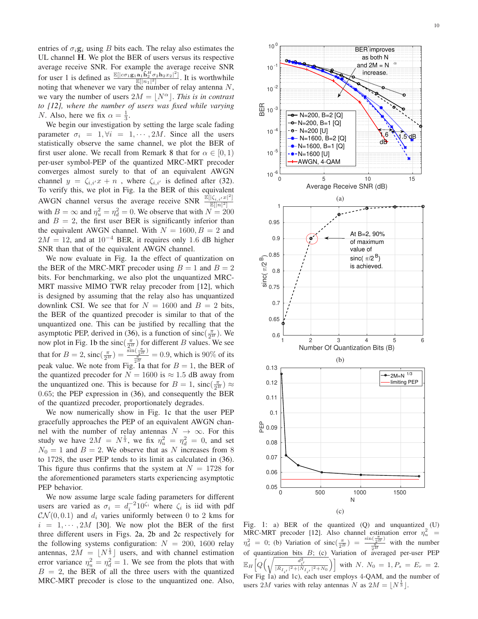entries of  $\sigma_i$ **g**<sub>i</sub> using B bits each. The relay also estimates the UL channel H. We plot the BER of users versus its respective average receive SNR. For example the average receive SNR for user 1 is defined as  $\frac{\mathbb{E}[|c\sigma_1\mathbf{g}_1\mathbf{a}_1\hat{\mathbf{h}}_2^H\sigma_2\mathbf{h}_2x_2|^2]}{\mathbb{E}[|n_1|^2]}$ . It is worthwhile noting that whenever we vary the number of relay antenna  $N$ , we vary the number of users  $2M = |N^{\alpha}|$ . *This is in contrast to [\[12\]](#page-15-11), where the number of users was fixed while varying N*. Also, here we fix  $\alpha = \frac{1}{3}$ .

We begin our investigation by setting the large scale fading parameter  $\sigma_i = 1, \forall i = 1, \cdots, 2M$ . Since all the users statistically observe the same channel, we plot the BER of first user alone. We recall from Remark [8](#page-7-6) that for  $\alpha \in [0,1)$ per-user symbol-PEP of the quantized MRC-MRT precoder converges almost surely to that of an equivalent AWGN channel  $y = \zeta_{i,i'}x + n$ , where  $\zeta_{i,i'}$  is defined after [\(32\)](#page-7-1). To verify this, we plot in Fig. [1a](#page-9-0) the BER of this equivalent AWGN channel versus the average receive SNR 2 ]  $\overline{\mathbb{E}[|n|^2]}$ with  $B = \infty$  and  $\eta_u^2 = \eta_d^2 = 0$ . We observe that with  $N = 200$ and  $B = 2$ , the first user BER is significantly inferior than the equivalent AWGN channel. With  $N = 1600, B = 2$  and  $2M = 12$ , and at  $10^{-4}$  BER, it requires only 1.6 dB higher SNR than that of the equivalent AWGN channel.

We now evaluate in Fig. [1a](#page-9-0) the effect of quantization on the BER of the MRC-MRT precoder using  $B = 1$  and  $B = 2$ bits. For benchmarking, we also plot the unquantized MRC-MRT massive MIMO TWR relay precoder from [\[12\]](#page-15-11), which is designed by assuming that the relay also has unquantized downlink CSI. We see that for  $N = 1600$  and  $B = 2$  bits, the BER of the quantized precoder is similar to that of the unquantized one. This can be justified by recalling that the asymptotic PEP, derived in [\(36\)](#page-7-5), is a function of sinc $(\frac{\pi}{2^B})$ . We now plot in Fig. [1b](#page-9-0) the sinc $\left(\frac{\pi}{2^B}\right)$  for different B values. We see that for  $B = 2$ ,  $\text{sinc}(\frac{\pi}{2^B}) = \frac{\sin(\frac{\pi}{2^B})}{\frac{\pi}{2^B}} = 0.9$ , which is 90% of its peak value. We note from Fig. [1a](#page-9-0) that for  $B = 1$ , the BER of the quantized precoder for  $N = 1600$  is  $\approx 1.5$  dB away from the unquantized one. This is because for  $B = 1$ ,  $\operatorname{sinc}(\frac{\pi}{2^B}) \approx$ 0.65; the PEP expression in [\(36\)](#page-7-5), and consequently the BER of the quantized precoder, proportionately degrades.

We now numerically show in Fig. [1c](#page-9-0) that the user PEP gracefully approaches the PEP of an equivalent AWGN channel with the number of relay antennas  $N \to \infty$ . For this study we have  $2M = N^{\frac{1}{3}}$ , we fix  $\eta_u^2 = \eta_d^2 = 0$ , and set  $N_0 = 1$  and  $B = 2$ . We observe that as N increases from 8 to 1728, the user PEP tends to its limit as calculated in [\(36\)](#page-7-5). This figure thus confirms that the system at  $N = 1728$  for the aforementioned parameters starts experiencing asymptotic PEP behavior.

We now assume large scale fading parameters for different users are varied as  $\sigma_i = d_i^{-2} 10^{\zeta_i}$  where  $\zeta_i$  is iid with pdf  $\mathcal{CN}(0,0.1)$  and  $d_i$  varies uniformly between 0 to 2 kms for  $i = 1, \dots, 2M$  [\[30\]](#page-15-29). We now plot the BER of the first three different users in Figs. [2a,](#page-10-0) [2b](#page-10-0) and [2c](#page-10-0) respectively for the following systems configuration:  $N = 200, 1600$  relay antennas,  $2M = \lfloor N^{\frac{1}{3}} \rfloor$  users, and with channel estimation error variance  $\eta_u^2 = \eta_d^2 = 1$ . We see from the plots that with  $B = 2$ , the BER of all the three users with the quantized MRC-MRT precoder is close to the unquantized one. Also,

<span id="page-9-0"></span>

Fig. 1: a) BER of the quantized  $(Q)$  and unquantized  $(U)$ MRC-MRT precoder [\[12\]](#page-15-11). Also channel estimation error  $\eta_u^2$  =  $\eta_d^2 = 0$ ; (b) Variation of sinc $\left(\frac{\pi}{2^B}\right) = \frac{\sin\left(\frac{\pi}{2^B}\right)}{\frac{\pi}{2^B}}$  with the number of quantization bits  $B$ ; (c) Variation of averaged per-user PEP  $\mathbb{E}_H$ h Q  $\Big(\sqrt{\frac{d_{i'}^2}{|\tilde{R}_{I_{i'}}|^2+|\tilde{N}_{I_{i'}}|^2+N_0}}\Big)$  with N.  $N_0 = 1, P_s = E_r = 2$ . For Fig 1a) and 1c), each user employs 4-QAM, and the number of users  $2M$  varies with relay antennas N as  $2M = \lfloor N^{\frac{1}{3}} \rfloor$ .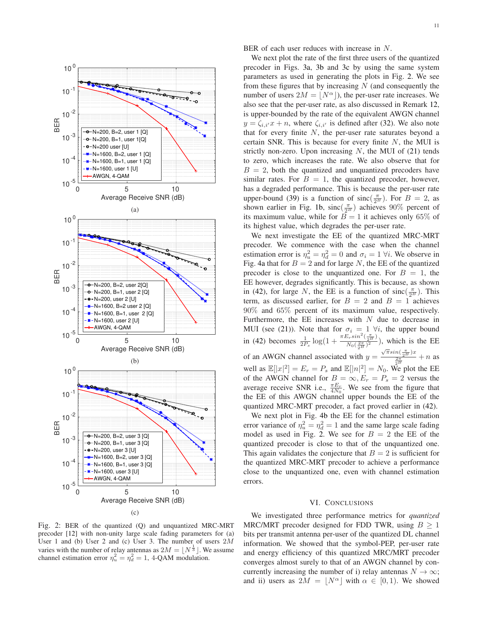<span id="page-10-0"></span>

BER of each user reduces with increase in N.

We next plot the rate of the first three users of the quantized precoder in Figs. [3a,](#page-11-0) [3b](#page-11-0) and [3c](#page-11-0) by using the same system parameters as used in generating the plots in Fig. [2.](#page-10-0) We see from these figures that by increasing  $N$  (and consequently the number of users  $2M = |N^{\alpha}|$ , the per-user rate increases. We also see that the per-user rate, as also discussed in Remark [12,](#page-8-6) is upper-bounded by the rate of the equivalent AWGN channel  $y = \zeta_{i,i'}x + n$ , where  $\zeta_{i,i'}$  is defined after [\(32\)](#page-7-1). We also note that for every finite  $N$ , the per-user rate saturates beyond a certain SNR. This is because for every finite  $N$ , the MUI is strictly non-zero. Upon increasing  $N$ , the MUI of [\(21\)](#page-5-2) tends to zero, which increases the rate. We also observe that for  $B = 2$ , both the quantized and unquantized precoders have similar rates. For  $B = 1$ , the quantized precoder, however, has a degraded performance. This is because the per-user rate upper-bound [\(39\)](#page-8-3) is a function of  $\text{sinc}(\frac{\pi}{2^B})$ . For  $B = 2$ , as shown earlier in Fig. [1b,](#page-9-0)  $\text{sinc}(\frac{\pi}{2^B})$  achieves 90% percent of its maximum value, while for  $B = 1$  it achieves only 65% of its highest value, which degrades the per-user rate.

We next investigate the EE of the quantized MRC-MRT precoder. We commence with the case when the channel estimation error is  $\eta_u^2 = \eta_d^2 = 0$  and  $\sigma_i = 1 \forall i$ . We observe in Fig. [4a](#page-11-1) that for  $B = 2$  and for large N, the EE of the quantized precoder is close to the unquantized one. For  $B = 1$ , the EE however, degrades significantly. This is because, as shown in [\(42\)](#page-8-5), for large N, the EE is a function of sinc $(\frac{\pi}{2^B})$ . This term, as discussed earlier, for  $B = 2$  and  $B = 1$  achieves 90% and 65% percent of its maximum value, respectively. Furthermore, the EE increases with  $N$  due to decrease in MUI (see [\(21\)](#page-5-2)). Note that for  $\sigma_i = 1 \forall i$ , the upper bound in [\(42\)](#page-8-5) becomes  $\frac{1}{2P_s} \log(1 + \frac{\pi E_r \sin^2(\frac{\pi}{2^B})}{N_0(\frac{2\pi}{5})^2})$  $\frac{\sqrt{2B}}{N_0(\frac{2\pi}{2B})^2}$ , which is the EE of an AWGN channel associated with  $y = \frac{\sqrt{\pi} \sin(\frac{\pi}{2})x}{\frac{2\pi}{2}} + n$  as well as  $\mathbb{E}[|x|^2] = E_r = P_s$  and  $\mathbb{E}[|n|^2] = N_0$ . We plot the EE of the AWGN channel for  $B = \infty, E_r = P_s = 2$  versus the average receive SNR i.e.,  $\frac{\pi E_r}{4N_0}$ . We see from the figure that the EE of this AWGN channel upper bounds the EE of the quantized MRC-MRT precoder, a fact proved earlier in [\(42\)](#page-8-5).

We next plot in Fig. [4b](#page-11-1) the EE for the channel estimation error variance of  $\eta_u^2 = \eta_d^2 = 1$  and the same large scale fading model as used in Fig. [2.](#page-10-0) We see for  $B = 2$  the EE of the quantized precoder is close to that of the unquantized one. This again validates the conjecture that  $B = 2$  is sufficient for the quantized MRC-MRT precoder to achieve a performance close to the unquantized one, even with channel estimation errors.

#### VI. CONCLUSIONS

Fig. 2: BER of the quantized (Q) and unquantized MRC-MRT precoder [\[12\]](#page-15-11) with non-unity large scale fading parameters for (a) User 1 and (b) User 2 and (c) User 3. The number of users  $2M$ varies with the number of relay antennas as  $2M = \lfloor N^{\frac{1}{3}} \rfloor$ . We assume channel estimation error  $\eta_u^2 = \eta_d^2 = 1$ , 4-QAM modulation.

We investigated three performance metrics for *quantized* MRC/MRT precoder designed for FDD TWR, using  $B \ge 1$ bits per transmit antenna per-user of the quantized DL channel information. We showed that the symbol-PEP, per-user rate and energy efficiency of this quantized MRC/MRT precoder converges almost surely to that of an AWGN channel by concurrently increasing the number of i) relay antennas  $N \to \infty$ ; and ii) users as  $2M = |N^{\alpha}|$  with  $\alpha \in [0, 1)$ . We showed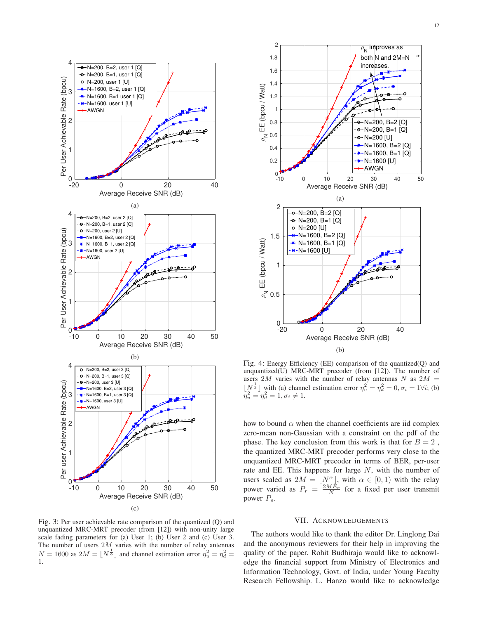<span id="page-11-0"></span>

Fig. 3: Per user achievable rate comparison of the quantized (Q) and unquantized MRC-MRT precoder (from [\[12\]](#page-15-11)) with non-unity large scale fading parameters for (a) User 1; (b) User 2 and (c) User 3. The number of users  $2M$  varies with the number of relay antennas  $N = 1600$  as  $2M = \lfloor N^{\frac{1}{3}} \rfloor$  and channel estimation error  $\eta_u^2 = \eta_d^2 =$ 1.

<span id="page-11-1"></span>

Fig. 4: Energy Efficiency (EE) comparison of the quantized(Q) and unquantized(U) MRC-MRT precoder (from [\[12\]](#page-15-11)). The number of users 2M varies with the number of relay antennas N as  $2M =$  $\lfloor N^{\frac{1}{3}} \rfloor$  with (a) channel estimation error  $\eta_u^2 = \eta_d^2 = 0, \sigma_i = 1 \forall i$ ; (b)  $\bar{\eta}_u^2 = \bar{\eta}_d^2 = 1, \sigma_i \neq 1.$ 

how to bound  $\alpha$  when the channel coefficients are iid complex zero-mean non-Gaussian with a constraint on the pdf of the phase. The key conclusion from this work is that for  $B = 2$ , the quantized MRC-MRT precoder performs very close to the unquantized MRC-MRT precoder in terms of BER, per-user rate and EE. This happens for large  $N$ , with the number of users scaled as  $2M = \lfloor N^{\alpha} \rfloor$ , with  $\alpha \in [0, 1)$  with the relay power varied as  $P_r = \frac{2ME_r}{N}$  for a fixed per user transmit power  $P_s$ .

# VII. ACKNOWLEDGEMENTS

The authors would like to thank the editor Dr. Linglong Dai and the anonymous reviewers for their help in improving the quality of the paper. Rohit Budhiraja would like to acknowledge the financial support from Ministry of Electronics and Information Technology, Govt. of India, under Young Faculty Research Fellowship. L. Hanzo would like to acknowledge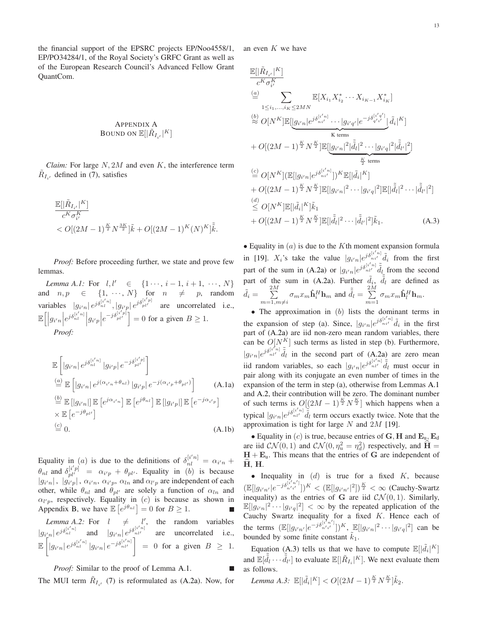the financial support of the EPSRC projects EP/Noo4558/1, EP/PO34284/1, of the Royal Society's GRFC Grant as well as of the European Research Council's Advanced Fellow Grant QuantCom.

# <span id="page-12-0"></span>APPENDIX A Bound on  $\mathbb{E}[|\tilde{R}_{I_{i'}}|^K]$

*Claim:* For large  $N$ ,  $2M$  and even  $K$ , the interference term  $\tilde{R}_{I_{i'}}$  defined in [\(7\)](#page-3-3), satisfies

$$
\frac{\mathbb{E}[|\tilde{R}_{I_{i'}}|^K]}{c^K \sigma^K_{i'}} < O[(2M-1)^{\frac{K}{2}} N^{\frac{3K}{2}}] \tilde{k} + O[(2M-1)^K (N)^K] \tilde{\tilde{k}}.
$$

<span id="page-12-1"></span>*Proof:* Before proceeding further, we state and prove few lemmas.

*Lemma A.1:* For  $l, l' \in \{1 \cdots, i-1, i+1, \cdots, N\}$ and  $n, p \in \{1, \cdots, N\}$  for  $n \neq p$ , random variables  $|g_{i'n}| e^{j\delta_{ni}^{[i'n]}}$ ,  $|g_{i'p}| e^{j\delta_{pi'}^{[i'p]}}$  are uncorrelated i.e.,  $\mathbb{E}\Big[\Big|g_{i'n}\Big|e^{j\delta_{nl}^{[i'n]}}\Big|g_{i'p}\Big|e^{-j\delta_{pl'}^{[i'p]}}\Big] = 0$  for a given  $B \ge 1$ . *Proof:*

$$
\mathbb{E}\left[|g_{i'n}|e^{j\delta_{nl}^{[i'n]}}|g_{i'p}|e^{-j\delta_{pl'}^{[i'p]}}\right]
$$
\n
$$
\stackrel{(a)}{=} \mathbb{E}\left[|g_{i'n}|e^{j(\alpha_{i'n}+\theta_{nl})}|g_{i'p}|e^{-j(\alpha_{i'p}+\theta_{pl'})}\right]
$$
\n
$$
\stackrel{(b)}{=} \mathbb{E}\left[|g_{i'n}|\right] \mathbb{E}\left[e^{j\alpha_{i'n}}\right] \mathbb{E}\left[e^{j\theta_{nl}}\right] \mathbb{E}\left[|g_{i'p}|\right] \mathbb{E}\left[e^{-j\alpha_{i'p}}\right]
$$
\n
$$
\times \mathbb{E}\left[e^{-j\theta_{pl'}}\right]
$$
\n
$$
\stackrel{(c)}{=} 0.
$$
\n(A.1b)

Equality in (a) is due to the definitions of  $\delta_{nl}^{[i'n]} = \alpha_{i'n} +$  $\theta_{nl}$  and  $\delta_{pl'}^{[i'p]} = \alpha_{i'p} + \theta_{pl'}$ . Equality in (b) is because  $|g_{i'n}|$ ,  $|g_{i'p}|$ ,  $\alpha_{i'n}$ ,  $\alpha_{i'p}$ ,  $\alpha_{ln}$  and  $\alpha_{l'p}$  are independent of each other, while  $\theta_{nl}$  and  $\theta_{pl'}$  are solely a function of  $\alpha_{ln}$  and  $\alpha_{l'p}$ , respectively. Equality in (c) is because as shown in Appendix [B,](#page-13-0) we have  $\mathbb{E}\left[e^{j\theta_{nl}}\right] = 0$  for  $B \ge 1$ .

<span id="page-12-2"></span>*Lemma A.2:* For  $l \neq \begin{matrix} l' \\ l' \end{matrix}$ , the random variables  $|g_{i'_n}| e^{j\delta_{ni}^{[i'n]}}$  and  $|g_{i'n}| e^{j\delta_{ni'}^{[i'n]}}$  are uncorrelated i.e.,  $\mathbb{E}\Big[$  $|g_{i'n}| e^{j\delta^{[i'n]}_{nl}} |g_{i'n}| e^{-j\delta^{[i'n]}_{nl'}}$  $= 0$  for a given  $B \ge 1$ .

*Proof:* Similar to the proof of Lemma [A.1.](#page-12-1)

The MUI term  $\tilde{R}_{I_{i'}}$  [\(7\)](#page-3-3) is reformulated as [\(A.2a\)](#page-13-1). Now, for

an even  $K$  we have

$$
\mathbb{E}[|\tilde{R}_{I_{i'}}|^{K}] \n\overset{(a)}{\leq} \sum_{1 \leq i_1, ..., i_K \leq 2MN} \mathbb{E}[X_{i_1}X_{i_2}^* \cdots X_{i_{K-1}}X_{i_K}^*] \n\overset{(b)}{\approx} O[N^K] \mathbb{E}[\underbrace{[g_{i'n}] e^{j\delta_{ni'}^{[i'n]}} \cdots |g_{i'q'}|} \underbrace{e^{-j\delta_{q'_{i'}}^{[i'q']}} \mathbf{a}_{i'}^{K}]^{K}}_{\text{K terms}} + O[(2M-1)^{\frac{K}{2}} N^{\frac{K}{2}}] \mathbb{E}[\underbrace{[g_{i'n}]^2|\tilde{\tilde{d}}_{i'}|^2 \cdots |g_{i'q}|^2|\tilde{\tilde{d}}_{i'}|^2}_{\frac{K}{2} \text{ terms}}] \n\overset{(c)}{=} O[N^K] (\mathbb{E}[|g_{i'n}|e^{j\delta_{ni'}^{[i'n]}}])^{K} \mathbb{E}[|\tilde{d}_{i}|^{K}] \n+ O[(2M-1)^{\frac{K}{2}} N^{\frac{K}{2}}] \mathbb{E}[|g_{i'n}|^2 \cdots |g_{i'q}|^2] \mathbb{E}[|\tilde{\tilde{d}}_{i}|^2 \cdots |\tilde{\tilde{d}}_{i'}|^2] \n\overset{(d)}{\leq} O[N^K] \mathbb{E}[|\tilde{d}_{i}|^{K}] \tilde{k}_{1} \n+ O[(2M-1)^{\frac{K}{2}} N^{\frac{K}{2}}] \mathbb{E}[|\tilde{\tilde{d}}_{i}|^2 \cdots |\tilde{\tilde{d}}_{i'}|^2] \tilde{k}_{1}. \n\tag{A.3}
$$

<span id="page-12-3"></span>• Equality in  $(a)$  is due to the K<sup>th</sup> moment expansion formula in [\[19\]](#page-15-18).  $X_i$ 's take the value  $|g_{i'n}|e^{j\delta_{ii'}^{(i'n)}}_{i'i'=1}$  from the first part of the sum in [\(A.2a\)](#page-13-1) or  $|g_{i'n}|e^{j\delta_{n l'}^{[i'n]}}\tilde{d}_{l_{\tilde{z}}}$  from the second part of the sum in [\(A.2a\)](#page-13-1). Further  $\tilde{d}_i$ ,  $\tilde{d}_l$  are defined as  $\tilde{d}_i = \sum^{2M}$  $m=1,m\neq i$  $\sigma_m x_m \hat{\mathbf{h}}_i^H \mathbf{h}_m$  and  $\tilde{\tilde{d}}_l = \sum_{i=1}^{2M}$  $\sum_{m=1}^{2m} \sigma_m x_m \hat{\mathbf{h}}_l^H \mathbf{h}_m.$ 

• The approximation in  $(b)$  lists the dominant terms in the expansion of step (a). Since,  $|g_{i'n}|e^{j\delta_{ni'}^{[i'n]}}\tilde{d}_i$  in the first part of [\(A.2a\)](#page-13-1) are iid non-zero mean random variables, there can be  $O[N^K]$  such terms as listed in step (b). Furthermore,  $|g_{i'n}|e^{j\delta_{n l'}^{[i'n]}}\tilde{d}_l$  in the second part of  $(A_{n/2a})$  are zero mean iid random variables, so each  $|g_{i'n}|e^{j\delta_{n l'}^{[i'n]}}\tilde{d}_l$  must occur in pair along with its conjugate an even number of times in the expansion of the term in step (a), otherwise from Lemmas [A.1](#page-12-1) and [A.2,](#page-12-2) their contribution will be zero. The dominant number of such terms is  $O[(2M-1)^{\frac{K}{2}}N^{\frac{K}{2}}]$  which happens when a typical  $|g_{i'n}| \epsilon^{j\delta_{n l'}^{[i'n]}} \hat{d}_l$  term occurs exactly twice. Note that the approximation is tight for large  $N$  and  $2M$  [\[19\]](#page-15-18).

• Equality in (c) is true, because entries of  $\mathbf{G}, \mathbf{H}$  and  $\mathbf{E}_{u}, \mathbf{E}_{d}$ are iid  $CN(0, 1)$  and  $CN(0, \eta_u^2 = \eta_d^2)$  respectively, and  $\hat{H} =$  $H + E_u$ . This means that the entries of G are independent of H, H.

• Inequality in  $(d)$  is true for a fixed  $K$ , because  $(\mathbb{E}[|g_{i'n'}|e^{-j\delta_{n'i'}^{[i'n']}}])^K < (\mathbb{E}[|g_{i'n'}|^2])^{\frac{K}{2}} < \infty$  (Cauchy-Swartz inequality) as the entries of G are iid  $\mathcal{CN}(0,1)$ . Similarly,  $\mathbb{E}[|g_{i'n}|^2 \cdots |g_{i'q}|^2] < \infty$  by the repeated application of the Cauchy Swartz inequality for a fixed  $K$ . Hence each of the terms  $(\mathbb{E}[|g_{i'n'}|e^{-j\delta_{n'i'}^{[i']}}])^K$ ,  $\mathbb{E}[|g_{i'n}|^2 \cdots |g_{i'q}|^2]$  can be bounded by some finite constant  $k_1$ .

Equation [\(A.3\)](#page-12-3) tells us that we have to compute  $\mathbb{E}[|\tilde{d}_i|^K]$ and  $\mathbb{E}[\tilde{\tilde{d}}_l \cdots \tilde{\tilde{d}}_{l'}]$  to evaluate  $\mathbb{E}[|\tilde{R}_{I_i}|^K]$ . We next evaluate them as follows.

<span id="page-12-4"></span>*Lemma A.3*:  $\mathbb{E}[|\tilde{d}_i|^K] < O[(2M-1)^{\frac{K}{2}}N^{\frac{K}{2}}]\tilde{k}_2$ .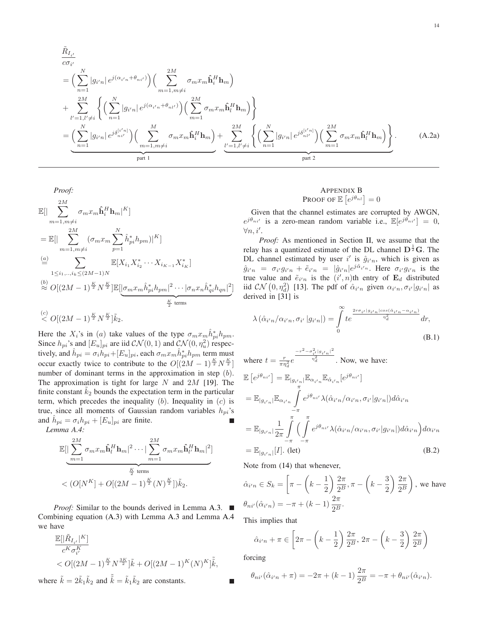$$
\tilde{R}_{I_{i'}}\n= \left(\sum_{n=1}^{N} |g_{i'n}| e^{j(\alpha_{i'n} + \theta_{ni'})}\right) \left(\sum_{m=1,m\neq i}^{2M} \sigma_m x_m \hat{\mathbf{h}}_i^H \mathbf{h}_m\right)\n+ \sum_{l'=1,l'\neq i}^{2M} \left\{\left(\sum_{n=1}^{N} |g_{i'n}| e^{j(\alpha_{i'n} + \theta_{ni'})}\right) \left(\sum_{m=1}^{2M} \sigma_m x_m \hat{\mathbf{h}}_i^H \mathbf{h}_m\right)\right\}\n= \underbrace{\left(\sum_{n=1}^{N} |g_{i'n}| e^{j\delta_{ni'}^{[i'n]}}\right) \left(\sum_{m=1,m\neq i}^{M} \sigma_m x_m \hat{\mathbf{h}}_i^H \mathbf{h}_m\right)}_{\text{part 1}} + \underbrace{\sum_{l'=1,l'\neq i}^{2M} \left\{\left(\sum_{n=1}^{N} |g_{i'n}| e^{j\delta_{ni'}^{[i'n]}}\right) \left(\sum_{m=1}^{2M} \sigma_m x_m \hat{\mathbf{h}}_l^H \mathbf{h}_m\right)\right\}}_{\text{part 2}}.
$$
\n(A.2a)

*Proof:*

$$
\mathbb{E}[\|\sum_{m=1,m\neq i}^{2M} \sigma_m x_m \hat{\mathbf{h}}_i^H \mathbf{h}_m|^K]
$$
\n
$$
= \mathbb{E}[|\sum_{m=1,m\neq i}^{2M} (\sigma_m x_m \sum_{p=1}^N \hat{h}_{pi}^* h_{pm})|^K]
$$
\n
$$
\stackrel{(a)}{=} \sum_{1 \leq i_1,..,i_k \leq (2M-1)N} \mathbb{E}[X_{i_1} X_{i_2}^* \cdots X_{i_{K-1}} X_{i_K}^*]
$$
\n
$$
\stackrel{(b)}{\approx} O[(2M-1)^{\frac{K}{2}} N^{\frac{K}{2}}] \mathbb{E}[[\sigma_m x_m \hat{h}_{pi}^* h_{pm}]^2 \cdots |\sigma_n x_n \hat{h}_{qi}^* h_{qn}]^2]
$$
\n
$$
\stackrel{(c)}{\leq} O[(2M-1)^{\frac{K}{2}} N^{\frac{K}{2}}] \tilde{k}_2.
$$

Here the  $X_i$ 's in (a) take values of the type  $\sigma_m x_m \hat{h}_{pi}^* h_{pm}$ . Since  $h_{pi}$ 's and  $[E_u]_{pi}$  are iid  $\mathcal{CN}(0, 1)$  and  $\mathcal{CN}(0, \eta_u^2)$  respectively, and  $\hat{h}_{pi} = \sigma_i \hat{h}_{pi} + [E_u]_{pi}$ , each  $\sigma_m x_m \hat{h}_{pi}^* h_{pm}$  term must occur exactly twice to contribute to the  $O[(2M-1)^{\frac{K}{2}}N^{\frac{K}{2}}]$ number of dominant terms in the approximation in step (b). The approximation is tight for large  $N$  and  $2M$  [\[19\]](#page-15-18). The finite constant  $k_2$  bounds the expectation term in the particular term, which precedes the inequality  $(b)$ . Inequality in  $(c)$  is true, since all moments of Gaussian random variables  $h_{ni}$ 's and  $\hat{h}_{pi} = \sigma_i h_{pi} + [E_u]_{pi}$  are finite.

<span id="page-13-2"></span>*Lemma A.4:*

$$
\mathbb{E}\left[\sum_{m=1}^{2M} \sigma_m x_m \hat{\mathbf{h}}_l^H \mathbf{h}_m\right]^2 \cdots \left|\sum_{m=1}^{2M} \sigma_m x_m \hat{\mathbf{h}}_l^H \mathbf{h}_m\right|^2\right]
$$
  

$$
< (O[N^K] + O[(2M-1)^{\frac{K}{2}}(N)^{\frac{K}{2}}])\tilde{k}_2.
$$

*Proof:* Similar to the bounds derived in Lemma [A.3.](#page-12-4) Combining equation [\(A.3\)](#page-12-3) with Lemma [A.3](#page-12-4) and Lemma [A.4](#page-13-2) we have

$$
\frac{\mathbb{E}[\|\tilde{R}_{I_{i'}}\|^K]}{c^K \sigma^K_i} < O[(2M-1)^{\frac{K}{2}} N^{\frac{3K}{2}}] \tilde{k} + O[(2M-1)^K (N)^K] \tilde{k},
$$

where  $\tilde{k} = 2\tilde{k}_1 \tilde{k}_2$  and  $\tilde{\tilde{k}} = \tilde{k}_1 \tilde{k}_2$  are constants.

# <span id="page-13-1"></span><span id="page-13-0"></span>APPENDIX B **PROOF OF**  $\mathbb{E}\left[e^{j\theta_{nl}}\right] = 0$

Given that the channel estimates are corrupted by AWGN,  $e^{j\theta_{ni'}}$  is a zero-mean random variable i.e.,  $\mathbb{E}[e^{j\theta_{ni'}}] = 0$ ,  $\forall n,i'.$ 

*Proof:* As mentioned in Section [II,](#page-2-0) we assume that the relay has a quantized estimate of the DL channel  $D^{\frac{1}{2}}G$ . The DL channel estimated by user i' is  $\hat{g}_{i'n}$ , which is given as  $\hat{g}_{i'n} = \sigma_{i'} g_{i'n} + \tilde{e}_{i'n} = |\hat{g}_{i'n}| e^{j \hat{\alpha}_{i'n}}$ . Here  $\sigma_{i'} g_{i'n}$  is the true value and  $\tilde{e}_{i'n}$  is the  $(i',n)$ th entry of  $\mathbf{E}_d$  distributed iid  $CN(0, \eta_d^2)$  [\[13\]](#page-15-13). The pdf of  $\hat{\alpha}_{i'n}$  given  $\alpha_{i'n}, \sigma_{i'}|g_{i'n}|$  as derived in [\[31\]](#page-15-30) is

<span id="page-13-3"></span>
$$
\lambda \left( \hat{\alpha}_{i'n} / \alpha_{i'n}, \sigma_{i'} \left| g_{i'n} \right| \right) = \int_0^\infty t e^{\frac{2r\sigma_{i'} |g_{i'n}| \cos(\hat{\alpha}_{i'n} - \alpha_{i'n})}{\eta_d^2}} dr,
$$
\n(B.1)

where  $t = \frac{r}{\pi \eta_d^2} e$  $-r^2 - \sigma_{i'}^2 |g_{i'n}|^2$  $\frac{n_d^2}{n_d^2}$ . Now, we have:

$$
\mathbb{E}\left[e^{j\theta_{ni'}}\right] = \mathbb{E}_{|g_{i'n}|} \mathbb{E}_{\alpha_{i'n}} \mathbb{E}_{\hat{\alpha}_{i'n}}[e^{j\theta_{ni'}}]
$$
\n
$$
= \mathbb{E}_{|g_{i'n}|} \mathbb{E}_{\alpha_{i'n}} \int_{-\pi}^{\pi} e^{j\theta_{ni'}} \lambda(\hat{\alpha}_{i'n}/\alpha_{i'n}, \sigma_{i'}|g_{i'n}|) d\hat{\alpha}_{i'n}
$$
\n
$$
= \mathbb{E}_{|g_{i'n}|} \frac{1}{2\pi} \int_{-\pi}^{\pi} \Big(\int_{-\pi}^{\pi} e^{j\theta_{ni'}} \lambda(\hat{\alpha}_{i'n}/\alpha_{i'n}, \sigma_{i'}|g_{i'n}|) d\hat{\alpha}_{i'n}\Big) d\alpha_{i'n}
$$
\n
$$
= \mathbb{E}_{|g_{i'n}|}[I]. \text{ (let)} \tag{B.2}
$$

<span id="page-13-4"></span>Note from [\(14\)](#page-3-1) that whenever,

$$
\hat{\alpha}_{i'n} \in S_k = \left[\pi - \left(k - \frac{1}{2}\right) \frac{2\pi}{2^B}, \pi - \left(k - \frac{3}{2}\right) \frac{2\pi}{2^B}\right), \text{ we have}
$$

$$
\theta_{ni'}(\hat{\alpha}_{i'n}) = -\pi + (k - 1) \frac{2\pi}{2^B}.
$$

This implies that

$$
\hat{\alpha}_{i'n} + \pi \in \left[2\pi - \left(k - \frac{1}{2}\right)\frac{2\pi}{2^B}, 2\pi - \left(k - \frac{3}{2}\right)\frac{2\pi}{2^B}\right)
$$

forcing

$$
\theta_{ni'}(\hat{\alpha}_{i'n} + \pi) = -2\pi + (k-1)\frac{2\pi}{2^B} = -\pi + \theta_{ni'}(\hat{\alpha}_{i'n}).
$$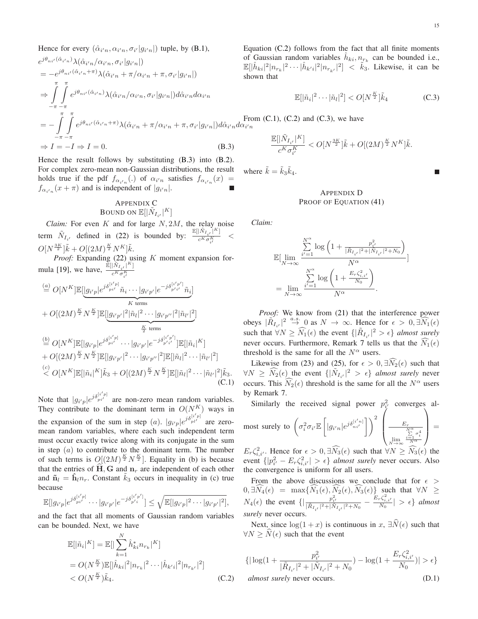Hence for every 
$$
(\hat{\alpha}_{i'n}, \alpha_{i'n}, \sigma_{i'} | g_{i'n}|)
$$
 tuple, by (B.1),  
\n
$$
e^{j\theta_{ni'}(\hat{\alpha}_{i'n})}\lambda(\hat{\alpha}_{i'n}/\alpha_{i'n}, \sigma_{i'} | g_{i'n}|)
$$
\n
$$
= -e^{j\theta_{ni'}(\hat{\alpha}_{i'n} + \pi)}\lambda(\hat{\alpha}_{i'n} + \pi/\alpha_{i'n} + \pi, \sigma_{i'} | g_{i'n}|)
$$
\n
$$
\Rightarrow \int_{-\pi - \pi}^{\pi} \int_{-\pi - \pi}^{\pi} e^{j\theta_{ni'}(\hat{\alpha}_{i'n} + \pi)}\lambda(\hat{\alpha}_{i'n} + \pi/\alpha_{i'n}, \sigma_{i'} | g_{i'n}|) d\hat{\alpha}_{i'n} d\alpha_{i'n}
$$
\n
$$
= -\int_{-\pi - \pi}^{\pi} \int_{-\pi - \pi}^{\pi} e^{j\theta_{ni'}(\hat{\alpha}_{i'n})}\lambda(\hat{\alpha}_{i'n}/\alpha_{i'n}, \sigma_{i'} | g_{i'n}|) d\hat{\alpha}_{i'n} d\alpha_{i'n}
$$
\n
$$
= -\int_{-\pi - \pi}^{\pi} \int_{-\pi - \pi}^{\pi} e^{j\theta_{ni'}(\hat{\alpha}_{i'n} + \pi)}\lambda(\hat{\alpha}_{i'n} + \pi/\alpha_{i'n} + \pi, \sigma_{i'} | g_{i'n}|) d\hat{\alpha}_{i'n} d\alpha_{i'n}
$$
\nFrom (C.1), (C.2) and (C.3), we have  
\n
$$
\Rightarrow I = -I \Rightarrow I = 0.
$$
\n(B.3)

Hence the result follows by substituting [\(B.3\)](#page-14-2) into [\(B.2\)](#page-13-4). For complex zero-mean non-Gaussian distributions, the result holds true if the pdf  $f_{\alpha_{i'n}}(.)$  of  $\alpha_{i'n}$  satisfies  $f_{\alpha_{i'n}}(x)$  =  $f_{\alpha_{i'n}}(x+\pi)$  and is independent of  $|g_{i'n}|$ .

#### <span id="page-14-0"></span>APPENDIX C

BOUND ON 
$$
\mathbb{E}[|\tilde{N}_{I_{i'}}|^K]
$$

*Claim:* For even K and for large  $N$ , 2M, the relay noise term  $\tilde{N}_{I_i}$ , defined in [\(22\)](#page-5-6) is bounded by:  $\frac{\mathbb{E}[|\tilde{N}_{I_i}|^K]}{c^K \sigma^K}$  $c^K \sigma^K_{i'}$  $\lt$  $O[N^{\frac{3K}{2}}]\tilde{k} + O[(2M)^{\frac{K}{2}}N^K]\tilde{k}.$ 

Proof: Expanding [\(22\)](#page-5-6) using K moment expansion for-mula [\[19\]](#page-15-18), we have,  $\frac{\mathbb{E}[|\tilde{N}_{I_{i'}}|^K]}{e^{K_{\sigma}K}}$  $c^K \sigma^K_{i'}$ 

$$
\stackrel{(a)}{=} O[N^K] \mathbb{E}[\underbrace{|g_{i'p}|e^{j\delta_{pi'}^{[i'p]}}\tilde{n}_{i}\cdots|g_{i'p'}|e^{-j\delta_{pi'}^{[i'p']}}\tilde{n}_{i}]}_{K \text{ terms}}
$$
\n+ 
$$
O[(2M)^{\frac{K}{2}}N^{\frac{K}{2}}] \mathbb{E}[\underbrace{|g_{i'p'}|^{2}|\tilde{n}_{l}|^{2}\cdots|g_{i'p''}|^{2}|\tilde{n}_{l'}|^{2}}_{\stackrel{K}{2} \text{ terms}}
$$
\n
$$
\stackrel{(b)}{=} O[N^K] \mathbb{E}[[g_{i'p}|e^{j\delta_{pi'}^{[i'p]}}\cdots|g_{i'p'}|e^{-j\delta_{pi'}^{[i'p']}}] \mathbb{E}[[\tilde{n}_{i}|^K]
$$
\n+ 
$$
O[(2M)^{\frac{K}{2}}N^{\frac{K}{2}}] \mathbb{E}[[g_{i'p'}|^{2}\cdots|g_{i'p''}|^{2}]\mathbb{E}[[\tilde{n}_{l}|^{2}\cdots|\tilde{n}_{l'}|^{2}]
$$
\n
$$
\stackrel{(c)}{<} O[N^K] \mathbb{E}[[\tilde{n}_{i}|^K]\tilde{k}_{3} + O[(2M)^{\frac{K}{2}}N^{\frac{K}{2}}] \mathbb{E}[[\tilde{n}_{l}|^{2}\cdots|\tilde{n}_{l'}|^{2}]\tilde{k}_{3}.
$$
\n(C.1)

Note that  $|g_{i'p}|e^{j\delta p_i^{[i'p]}}$  are non-zero mean random variables. They contribute to the dominant term in  $O(N^K)$  ways in the expansion of the sum in step (a).  $|g_{i'p}|e^{j\delta_{pl'}^{[i'p]}}$  are zeromean random variables, where each such independent term must occur exactly twice along with its conjugate in the sum in step  $(a)$  to contribute to the dominant term. The number of such terms is  $O[(2M)^{\frac{K}{2}}N^{\frac{K}{2}}]$ . Equality in (b) is because that the entries of  $\widehat{H}$ , G and  $n_r$  are independent of each other and  $\tilde{\mathbf{n}}_l = \hat{\mathbf{h}}_l n_r$ . Constant  $\tilde{k}_3$  occurs in inequality in (c) true because

$$
\mathbb{E}[|g_{i'p}|e^{j\delta_{pi'}^{[i'p]}}\cdots|g_{i'p'}|e^{-j\delta_{p'i}^{[i'p']}}] \leq \sqrt{\mathbb{E}[|g_{i'p}|^2\cdots|g_{i'p'}|^2]},
$$

and the fact that all moments of Gaussian random variables can be bounded. Next, we have

$$
\mathbb{E}[|\tilde{n}_{i}|^{K}] = \mathbb{E}[|\sum_{k=1}^{N} \hat{h}_{ki}^{*} n_{r_{k}}|^{K}]
$$
  
=  $O(N^{\frac{K}{2}})\mathbb{E}[|\hat{h}_{ki}|^{2}|n_{r_{k}}|^{2} \cdots |\hat{h}_{k'i}|^{2}|n_{r_{k'}}|^{2}]$   
<  $O(N^{\frac{K}{2}})\tilde{k}_{4}.$  (C.2)

Equation [\(C.2\)](#page-14-3) follows from the fact that all finite moments of Gaussian random variables  $\hat{h}_{ki}, n_{r_k}$  can be bounded i.e.,  $|k_i|^2 |n_{r_k}|^2 \cdots |\hat{h}_{k'i}|^2 |n_{r_{k'}}|^2$  <  $\tilde{k}_3$ . Likewise, it can be *n* that

<span id="page-14-5"></span>
$$
\mathbb{E}[|\tilde{n}_i|^2 \cdots |\tilde{n}_l|^2] < O[N^{\frac{K}{2}}] \tilde{k}_4 \tag{C.3}
$$

$$
\frac{\mathbb{E}[|\tilde{N}_{I_{i'}}|^K]}{c^K \sigma^K_{i'}} < O[N^{\frac{3K}{2}}]\tilde{k} + O[(2M)^{\frac{K}{2}}N^K]\tilde{k}.
$$

<span id="page-14-2"></span>where  $\tilde{k} = \tilde{k}_3 \tilde{k}_4$ .

# <span id="page-14-1"></span>APPENDIX D PROOF OF EQUATION [\(41\)](#page-8-4)

*Claim:*

$$
\begin{split} &\mathbb{E}[\lim_{N\rightarrow\infty}\frac{\sum\limits_{i'=1}^{N^\alpha}\log\left(1+\frac{p_{i'}^2}{|\tilde{R}_{I_{i'}}|^2+|\tilde{N}_{I_{i'}}|^2+N_0}\right)}{N^\alpha}]\\ &=\lim_{N\rightarrow\infty}\frac{\sum\limits_{i'=1}^{N^\alpha}\log\left(1+\frac{E_r\zeta_{i,i'}^2}{N_0}\right)}{N^\alpha}. \end{split}
$$

*Proof:* We know from [\(21\)](#page-5-2) that the interference power obeys  $|\tilde{R}_{I_{i'}}|^2 \stackrel{a.s.}{\rightarrow} 0$  as  $N \rightarrow \infty$ . Hence for  $\epsilon > 0$ ,  $\overline{\hat{M}_1}(\epsilon)$ such that  $\forall N \geq \widehat{N}_1(\epsilon)$  the event  $\{|\tilde{R}_{I_{i'}}|^2 > \epsilon\}$  *almost surely* never occurs. Furthermore, Remark [7](#page-5-7) tells us that the  $N_1(\epsilon)$ threshold is the same for all the  $N^{\alpha}$  users.

<span id="page-14-4"></span>Likewise from [\(23\)](#page-5-0) and [\(25\)](#page-5-3), for  $\epsilon > 0$ ,  $\exists \widehat{N}_2(\epsilon)$  such that  $\forall N \geq \widehat{N}_2(\epsilon)$  the event  $\{|\tilde{N}_{I_{i'}}|^2 > \epsilon\}$  *almost surely* never occurs. This  $\widehat{N}_2(\epsilon)$  threshold is the same for all the  $N^{\alpha}$  users by Remark [7.](#page-5-7)

Similarly the received signal power  $p_{i'}^2$  converges al-

most surely to 
$$
\left(\sigma_i^2 \sigma_{i'} \mathbb{E}\left[|g_{i'n}|e^{j\delta_{ni'}^{[i'n]}}\right]\right)^2 \left(\frac{E_r}{\sqrt{\sum_{\substack{N^{\alpha}\\i=1 \text{ odd}}}}^{\alpha} \sigma_i^4}\right) =
$$

 $E_r \zeta_{i,i'}^2$ . Hence for  $\epsilon > 0$ ,  $\exists \widetilde{N}_3(\epsilon)$  such that  $\forall N \ge \widetilde{N}_3(\epsilon)$  the event  $\{|p_{i'}^2 - E_r \zeta_{i,i'}^2| > \epsilon\}$  *almost surely* never occurs. Also the convergence is uniform for all users.

From the above discussions we conclude that for  $\epsilon$  $(0, \exists N_4(\epsilon) = \max\{N_1(\epsilon), N_2(\epsilon), N_3(\epsilon)\}\)$  such that  $\forall N \geq$  $N_4(\epsilon)$  the event  $\{|\frac{p_{i'}^2}{|\tilde{R}_{I_{i'}}|^2+|\tilde{N}_{I_{i'}}|^2+N_0} - \frac{E_r\zeta_{i,i'}^2}{N_0}|\geq \epsilon\}$  almost *surely* never occurs.

Next, since  $\log(1 + x)$  is continuous in x,  $\exists \widehat{N}(\epsilon)$  such that  $\forall N \geq \widehat{N}(\epsilon)$  such that the event

<span id="page-14-6"></span><span id="page-14-3"></span>
$$
\{ |\log(1 + \frac{p_{i'}^2}{|\tilde{R}_{I_{i'}}|^2 + |\tilde{N}_{I_{i'}}|^2 + N_0}) - \log(1 + \frac{E_r \zeta_{i,i'}^2}{N_0}) | > \epsilon \}
$$
  
almost surely never occurs. (D.1)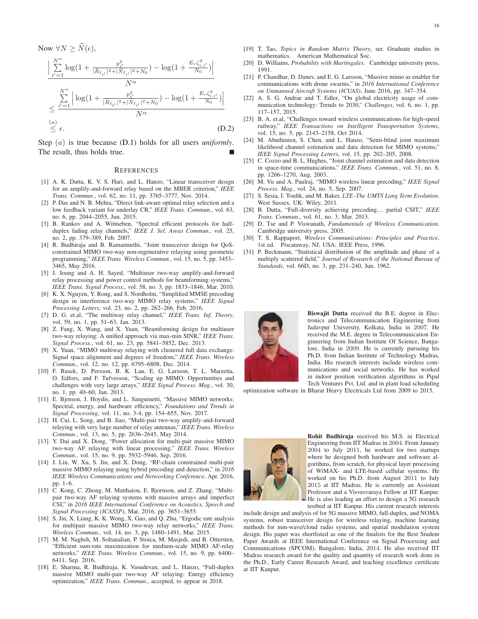Now 
$$
\forall N \ge \hat{N}(\epsilon)
$$
,  
\n
$$
\frac{\left| \sum_{i'=1}^{N^{\alpha}} \log(1 + \frac{p_{i'}^2}{|\bar{R}_{I_{i'}}|^2 + |\bar{N}_{I_{i'}}|^2 + N_0}) - \log(1 + \frac{E_r \zeta_{i,i'}^2}{N_0}) \right|}{N^{\alpha}}
$$
\n
$$
\le \frac{\sum_{i'=1}^{N^{\alpha}} \left| \log(1 + \frac{p_{i'}^2}{|\bar{R}_{I_{i'}}|^2 + |\bar{N}_{I_{i'}}|^2 + N_0}) - \log(1 + \frac{E_r \zeta_{i,i'}^2}{N_0}) \right|}{N^{\alpha}}
$$
\n(a)\n
$$
\le \epsilon.
$$
\n(D.2)

Step (a) is true because [\(D.1\)](#page-14-6) holds for all users *uniformly*. The result, thus holds true.

#### **REFERENCES**

- <span id="page-15-0"></span>[1] A. K. Dutta, K. V. S. Hari, and L. Hanzo, "Linear transceiver design for an amplify-and-forward relay based on the MBER criterion," *IEEE Trans. Commun.*, vol. 62, no. 11, pp. 3765–3777, Nov. 2014.
- <span id="page-15-1"></span>[2] P. Das and N. B. Mehta, "Direct link-aware optimal relay selection and a low feedback variant for underlay CR," *IEEE Trans. Commun.*, vol. 63, no. 6, pp. 2044–2055, Jun. 2015.
- <span id="page-15-2"></span>[3] B. Rankov and A. Wittneben, "Spectral efficient protocols for halfduplex fading relay channels," *IEEE J. Sel. Areas Commun.*, vol. 25, no. 2, pp. 379–389, Feb. 2007.
- <span id="page-15-3"></span>[4] R. Budhiraja and B. Ramamurthi, "Joint transceiver design for QoSconstrained MIMO two-way non-regenerative relaying using geometric programming," *IEEE Trans. Wireless Commun.*, vol. 15, no. 5, pp. 3453– 3465, May 2016.
- <span id="page-15-4"></span>[5] J. Joung and A. H. Sayed, "Multiuser two-way amplify-and-forward relay processing and power control methods for beamforming systems," *IEEE Trans. Signal Process.*, vol. 58, no. 3, pp. 1833–1846, Mar. 2010.
- <span id="page-15-6"></span>[6] K. X. Nguyen, Y. Rong, and S. Nordholm, "Simplified MMSE precoding design in interference two-way MIMO relay systems," *IEEE Signal Processing Letters*, vol. 23, no. 2, pp. 262–266, Feb. 2016.
- <span id="page-15-7"></span>[7] D. G. et.al, "The multiway relay channel," *IEEE Trans. Inf. Theory*, vol. 59, no. 1, pp. 51–63, Jan. 2013.
- <span id="page-15-8"></span>[8] Z. Fang, X. Wang, and X. Yuan, "Beamforming design for multiuser two-way relaying: A unified approach via max-min SINR," *IEEE Trans. Signal Process.*, vol. 61, no. 23, pp. 5841–5852, Dec. 2013.
- <span id="page-15-5"></span>[9] X. Yuan, "MIMO multiway relaying with clustered full data exchange: Signal space alignment and degrees of freedom," *IEEE Trans. Wireless Commun.*, vol. 12, no. 12, pp. 6795–6808, Dec. 2014.
- <span id="page-15-9"></span>[10] F. Rusek, D. Persson, B. K. Lau, E. G. Larsson, T. L. Marzetta, O. Edfors, and F. Tufvesson, "Scaling up MIMO: Opportunities and challenges with very large arrays," *IEEE Signal Process. Mag.*, vol. 30, no. 1, pp. 40–60, Jan. 2013.
- <span id="page-15-10"></span>[11] E. Bjrnson, J. Hoydis, and L. Sanguinetti, "Massive MIMO networks: Spectral, energy, and hardware efficiency," *Foundations and Trends in Signal Processing*, vol. 11, no. 3-4, pp. 154–655, Nov. 2017.
- <span id="page-15-11"></span>[12] H. Cui, L. Song, and B. Jiao, "Multi-pair two-way amplify-and-forward relaying with very large number of relay antennas," *IEEE Trans. Wireless Commun.*, vol. 13, no. 5, pp. 2636–2645, May 2014.
- <span id="page-15-13"></span>[13] Y. Dai and X. Dong, "Power allocation for multi-pair massive MIMO two-way AF relaying with linear processing," *IEEE Trans. Wireless Commun.*, vol. 15, no. 9, pp. 5932–5946, Sep. 2016.
- <span id="page-15-14"></span>[14] J. Liu, W. Xu, S. Jin, and X. Dong, "RF-chain constrained multi-pair massive MIMO relaying using hybrid precoding and detection," in *2016 IEEE Wireless Communications and Networking Conference*, Apr. 2016, pp. 1–6.
- <span id="page-15-15"></span>[15] C. Kong, C. Zhong, M. Matthaiou, E. Bjornson, and Z. Zhang, "Multipair two-way AF relaying systems with massive arrays and imperfect CSI," in *2016 IEEE International Conference on Acoustics, Speech and Signal Processing (ICASSP)*, Mar. 2016, pp. 3651–3655.
- <span id="page-15-16"></span>[16] S. Jin, X. Liang, K. K. Wong, X. Gao, and Q. Zhu, "Ergodic rate analysis for multipair massive MIMO two-way relay networks," *IEEE Trans. Wireless Commun.*, vol. 14, no. 3, pp. 1480–1491, Mar. 2015.
- <span id="page-15-17"></span>[17] M. M. Naghsh, M. Soltanalian, P. Stoica, M. Masjedi, and B. Ottersten, "Efficient sum-rate maximization for medium-scale MIMO AF-relay networks," *IEEE Trans. Wireless Commun.*, vol. 15, no. 9, pp. 6400– 6411, Sep. 2016.
- <span id="page-15-12"></span>[18] E. Sharma, R. Budhiraja, K. Vasudevan, and L. Hanzo, "Full-duplex massive MIMO multi-pair two-way AF relaying: Energy efficiency optimization," *IEEE Trans. Commun.*, accepted, to appear in 2018.
- <span id="page-15-19"></span><span id="page-15-18"></span>[19] T. Tao, *Topics in Random Matrix Theory*, ser. Graduate studies in mathematics. American Mathematical Soc.
- <span id="page-15-20"></span>[20] D. Williams, *Probability with Martingales*. Cambridge university press, 1991.
- [21] P. Chandhar, D. Danev, and E. G. Larsson, "Massive mimo as enabler for communications with drone swarms," in *2016 International Conference on Unmanned Aircraft Systems (ICUAS)*, June 2016, pp. 347–354.
- <span id="page-15-21"></span>[22] A. S. G. Andrae and T. Edler, "On global electricity usage of communication technology: Trends to 2030," *Challenges*, vol. 6, no. 1, pp. 117–157, 2015.
- <span id="page-15-22"></span>[23] B. A. et.al, "Challenges toward wireless communications for high-speed railway," *IEEE Transactions on Intelligent Transportation Systems*, vol. 15, no. 5, pp. 2143–2158, Oct 2014.
- <span id="page-15-23"></span>M. Abuthinien, S. Chen, and L. Hanzo, "Semi-blind joint maximum likelihood channel estimation and data detection for MIMO systems," *IEEE Signal Processing Letters*, vol. 15, pp. 202–205, 2008.
- <span id="page-15-24"></span>[25] C. Cozzo and B. L. Hughes, "Joint channel estimation and data detection in space-time communications," *IEEE Trans. Commun.*, vol. 51, no. 8, pp. 1266–1270, Aug. 2003.
- <span id="page-15-25"></span>[26] M. Vu and A. Paulraj, "MIMO wireless linear precoding," *IEEE Signal Process. Mag.*, vol. 24, no. 5, Sep. 2007.
- <span id="page-15-26"></span>[27] S. Sesia, I. Toufik, and M. Baker, *LTE–The UMTS Long Term Evolution*. West Sussex, UK: Wiley, 2011.
- <span id="page-15-27"></span>[28] B. Dutta, "Full-diversity achieving precoding.... partial CSIT," *IEEE Trans. Commun.*, vol. 61, no. 3, Mar. 2013.
- <span id="page-15-28"></span>[29] D. Tse and P. Viswanath, *Fundamentals of Wireless Communication*. Cambridge university press, 2005.
- <span id="page-15-29"></span>[30] T. S. Rappaport, *Wireless Communications: Principles and Practice*, 1st ed. Piscataway, NJ, USA: IEEE Press, 1996.
- <span id="page-15-30"></span>[31] P. Beckmann, "Statistical distribution of the amplitude and phase of a multiply scattered field," *Journal of Research of the National Bureau of Standards*, vol. 66D, no. 3, pp. 231–240, Jun. 1962.



Biswajit Dutta received the B.E. degree in Electronics and Telecommunication Engineering from Jadavpur University, Kolkata, India in 2007. He received the M.E. degree in Telecommunication Engineering from Indian Institute Of Science, Bangalore, India in 2009. He is currently pursuing his Ph.D. from Indian Institute of Technology Madras, India. His research interests include wireless communications and social networks. He has worked in indoor position verification algorithms in Pipal Tech Ventures Pvt. Ltd. and in plant load scheduling

optimization software in Bharat Heavy Electricals Ltd from 2009 to 2015.



Rohit Budhiraja received his M.S. in Electrical Engineering from IIT Madras in 2004. From January 2004 to July 2011, he worked for two startups where he designed both hardware and software algorithms, from scratch, for physical layer processing of WiMAX- and LTE-based cellular systems. He worked on his Ph.D. from August 2011 to July 2015 at IIT Madras. He is currently an Assistant Professor and a Visvesvaraya Fellow at IIT Kanpur. He is also leading an effort to design a 5G research testbed at IIT Kanpur. His current research interests

include design and analysis of for 5G massive MIMO, full-duplex, and NOMA systems, robust transceiver design for wireless relaying, machine learning methods for mm-wave/cloud radio systems, and spatial modulation system design. His paper was shortlisted as one of the finalists for the Best Student Paper Awards at IEEE International Conference on Signal Processing and Communications (SPCOM), Bangalore, India, 2014. He also received IIT Madras research award for the quality and quantity of research work done in the Ph.D., Early Career Research Award, and teaching excellence certificate at IIT Kanpur.